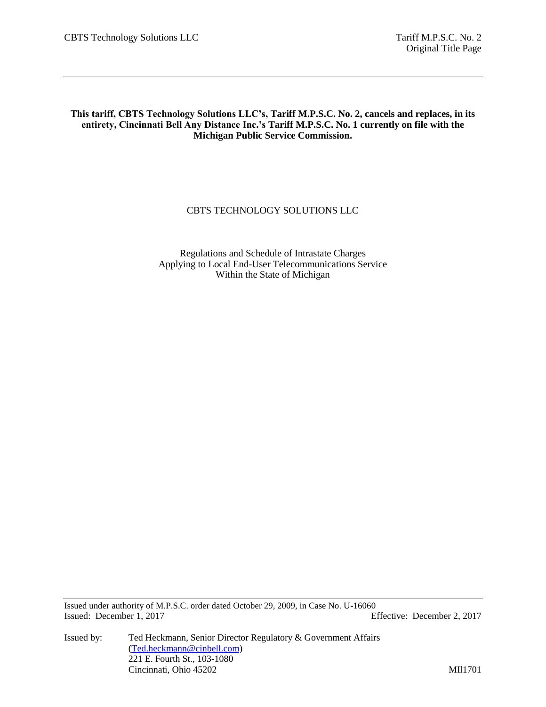**This tariff, CBTS Technology Solutions LLC's, Tariff M.P.S.C. No. 2, cancels and replaces, in its entirety, Cincinnati Bell Any Distance Inc.'s Tariff M.P.S.C. No. 1 currently on file with the Michigan Public Service Commission.**

# CBTS TECHNOLOGY SOLUTIONS LLC

Regulations and Schedule of Intrastate Charges Applying to Local End-User Telecommunications Service Within the State of Michigan

Issued under authority of M.P.S.C. order dated October 29, 2009, in Case No. U-16060 Issued: December 1, 2017 Effective: December 2, 2017

Issued by: Ted Heckmann, Senior Director Regulatory & Government Affairs [\(Ted.heckmann@cinbell.com\)](mailto:Ted.heckmann@cinbell.com) 221 E. Fourth St., 103-1080 Cincinnati, Ohio 45202 MIl1701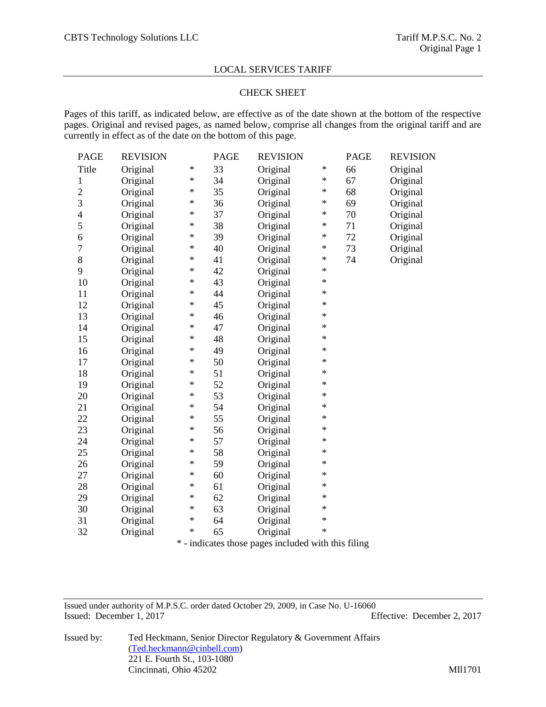### CHECK SHEET

Pages of this tariff, as indicated below, are effective as of the date shown at the bottom of the respective pages. Original and revised pages, as named below, comprise all changes from the original tariff and are currently in effect as of the date on the bottom of this page.

| <b>PAGE</b>              | <b>REVISION</b> |        | <b>PAGE</b> | <b>REVISION</b>                                 |        | <b>PAGE</b> | <b>REVISION</b> |
|--------------------------|-----------------|--------|-------------|-------------------------------------------------|--------|-------------|-----------------|
| Title                    | Original        | ∗      | 33          | Original                                        | ∗      | 66          | Original        |
| 1                        | Original        | $\ast$ | 34          | Original                                        | ∗      | 67          | Original        |
| $\overline{c}$           | Original        | $\ast$ | 35          | Original                                        | ∗      | 68          | Original        |
| 3                        | Original        | ∗      | 36          | Original                                        | ∗      | 69          | Original        |
| $\overline{\mathcal{L}}$ | Original        | $\ast$ | 37          | Original                                        | $\ast$ | 70          | Original        |
| 5                        | Original        | $\ast$ | 38          | Original                                        | $\ast$ | 71          | Original        |
| 6                        | Original        | ∗      | 39          | Original                                        | ∗      | 72          | Original        |
| $\overline{7}$           | Original        | $\ast$ | 40          | Original                                        | ∗      | 73          | Original        |
| 8                        | Original        | $\ast$ | 41          | Original                                        | $\ast$ | 74          | Original        |
| 9                        | Original        | $\ast$ | 42          | Original                                        | $\ast$ |             |                 |
| 10                       | Original        | $\ast$ | 43          | Original                                        | $\ast$ |             |                 |
| 11                       | Original        | ∗      | 44          | Original                                        | $\ast$ |             |                 |
| 12                       | Original        | ∗      | 45          | Original                                        | $\ast$ |             |                 |
| 13                       | Original        | $\ast$ | 46          | Original                                        | $\ast$ |             |                 |
| 14                       | Original        | $\ast$ | 47          | Original                                        | $\ast$ |             |                 |
| 15                       | Original        | $\ast$ | 48          | Original                                        | $\ast$ |             |                 |
| 16                       | Original        | ∗      | 49          | Original                                        | $\ast$ |             |                 |
| 17                       | Original        | $\ast$ | 50          | Original                                        | $\ast$ |             |                 |
| 18                       | Original        | ∗      | 51          | Original                                        | $\ast$ |             |                 |
| 19                       | Original        | $\ast$ | 52          | Original                                        | $\ast$ |             |                 |
| 20                       | Original        | $\ast$ | 53          | Original                                        | $\ast$ |             |                 |
| 21                       | Original        | ∗      | 54          | Original                                        | $\ast$ |             |                 |
| 22                       | Original        | ∗      | 55          | Original                                        | $\ast$ |             |                 |
| 23                       | Original        | $\ast$ | 56          | Original                                        | $\ast$ |             |                 |
| 24                       | Original        | $\ast$ | 57          | Original                                        | $\ast$ |             |                 |
| 25                       | Original        | $\ast$ | 58          | Original                                        | $\ast$ |             |                 |
| 26                       | Original        | $\ast$ | 59          | Original                                        | $\ast$ |             |                 |
| 27                       | Original        | ∗      | 60          | Original                                        | $\ast$ |             |                 |
| 28                       | Original        | ∗      | 61          | Original                                        | $\ast$ |             |                 |
| 29                       | Original        | $\ast$ | 62          | Original                                        | $\ast$ |             |                 |
| 30                       | Original        | $\ast$ | 63          | Original                                        | $\ast$ |             |                 |
| 31                       | Original        | $\ast$ | 64          | Original                                        | $\ast$ |             |                 |
| 32                       | Original        | $\ast$ | 65          | Original                                        | *      |             |                 |
|                          |                 | *      |             | indicates those pages included with this filing |        |             |                 |

- indicates those pages included with this filing

Issued under authority of M.P.S.C. order dated October 29, 2009, in Case No. U-16060 Issued: December 1, 2017 Effective: December 2, 2017

Issued by: Ted Heckmann, Senior Director Regulatory & Government Affairs [\(Ted.heckmann@cinbell.com\)](mailto:Ted.heckmann@cinbell.com) 221 E. Fourth St., 103-1080 Cincinnati, Ohio 45202 MIl1701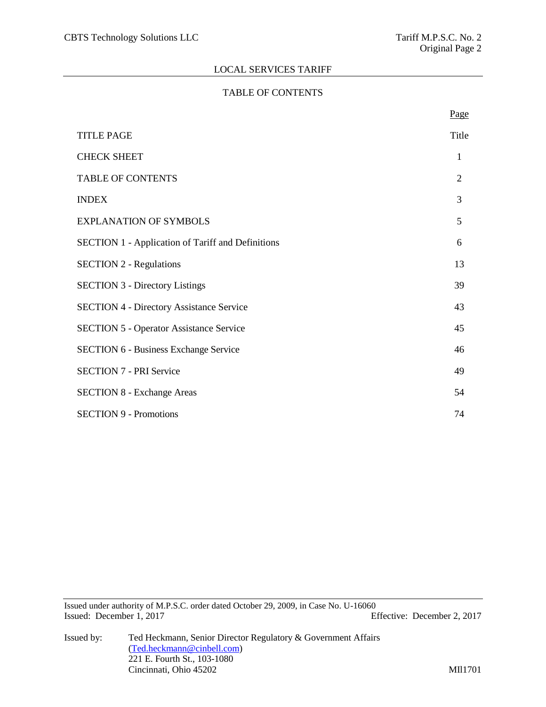# TABLE OF CONTENTS

|                                                          | Page           |
|----------------------------------------------------------|----------------|
| <b>TITLE PAGE</b>                                        | Title          |
| <b>CHECK SHEET</b>                                       | 1              |
| <b>TABLE OF CONTENTS</b>                                 | $\mathfrak{2}$ |
| <b>INDEX</b>                                             | 3              |
| <b>EXPLANATION OF SYMBOLS</b>                            | 5              |
| <b>SECTION 1 - Application of Tariff and Definitions</b> | 6              |
| <b>SECTION 2 - Regulations</b>                           | 13             |
| <b>SECTION 3 - Directory Listings</b>                    | 39             |
| <b>SECTION 4 - Directory Assistance Service</b>          | 43             |
| <b>SECTION 5 - Operator Assistance Service</b>           | 45             |
| <b>SECTION 6 - Business Exchange Service</b>             | 46             |
| <b>SECTION 7 - PRI Service</b>                           | 49             |
| <b>SECTION 8 - Exchange Areas</b>                        | 54             |
| <b>SECTION 9 - Promotions</b>                            | 74             |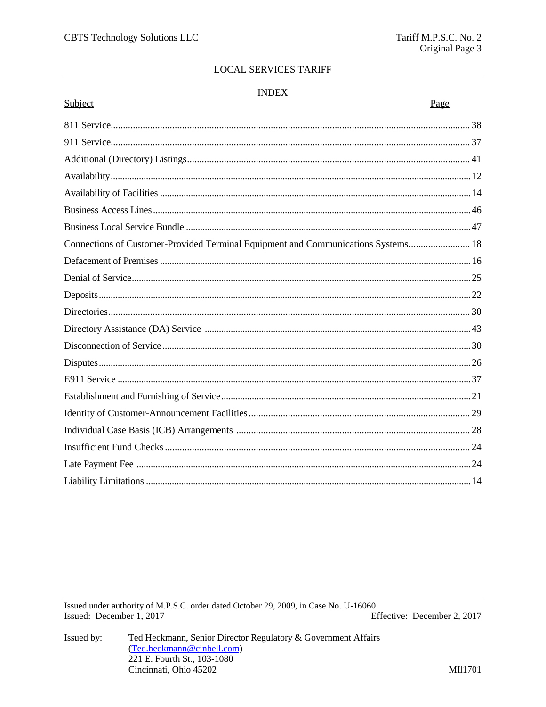# **INDEX**

| Subject                                                                           | Page |
|-----------------------------------------------------------------------------------|------|
|                                                                                   |      |
|                                                                                   |      |
|                                                                                   |      |
|                                                                                   |      |
|                                                                                   |      |
|                                                                                   |      |
|                                                                                   |      |
| Connections of Customer-Provided Terminal Equipment and Communications Systems 18 |      |
|                                                                                   |      |
|                                                                                   |      |
|                                                                                   |      |
|                                                                                   |      |
|                                                                                   |      |
|                                                                                   |      |
|                                                                                   |      |
|                                                                                   |      |
|                                                                                   |      |
|                                                                                   |      |
|                                                                                   |      |
|                                                                                   |      |
|                                                                                   |      |
|                                                                                   |      |
|                                                                                   |      |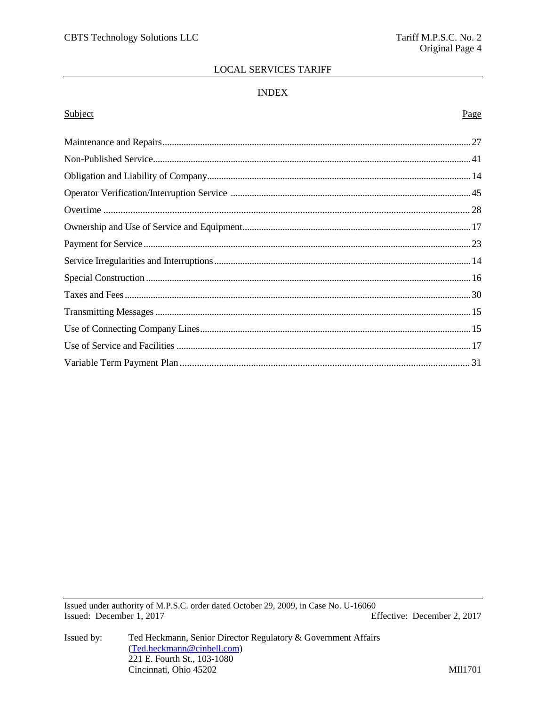# **INDEX**

# Subject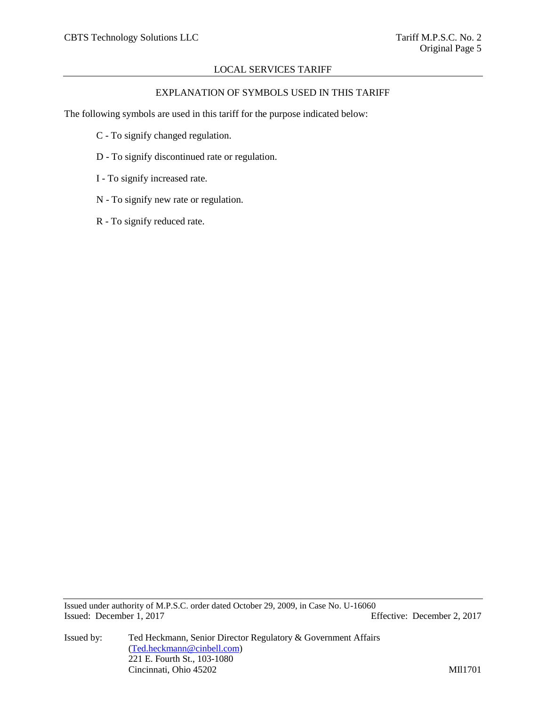# EXPLANATION OF SYMBOLS USED IN THIS TARIFF

The following symbols are used in this tariff for the purpose indicated below:

- C To signify changed regulation.
- D To signify discontinued rate or regulation.
- I To signify increased rate.
- N To signify new rate or regulation.
- R To signify reduced rate.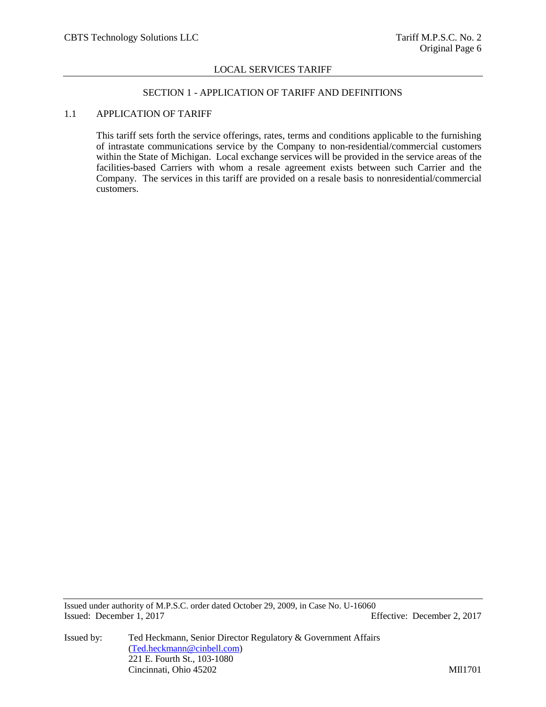#### SECTION 1 - APPLICATION OF TARIFF AND DEFINITIONS

### 1.1 APPLICATION OF TARIFF

This tariff sets forth the service offerings, rates, terms and conditions applicable to the furnishing of intrastate communications service by the Company to non-residential/commercial customers within the State of Michigan. Local exchange services will be provided in the service areas of the facilities-based Carriers with whom a resale agreement exists between such Carrier and the Company. The services in this tariff are provided on a resale basis to nonresidential/commercial customers.

Issued under authority of M.P.S.C. order dated October 29, 2009, in Case No. U-16060 Issued: December 1, 2017 Effective: December 2, 2017

Issued by: Ted Heckmann, Senior Director Regulatory & Government Affairs [\(Ted.heckmann@cinbell.com\)](mailto:Ted.heckmann@cinbell.com) 221 E. Fourth St., 103-1080 Cincinnati, Ohio 45202 MIl1701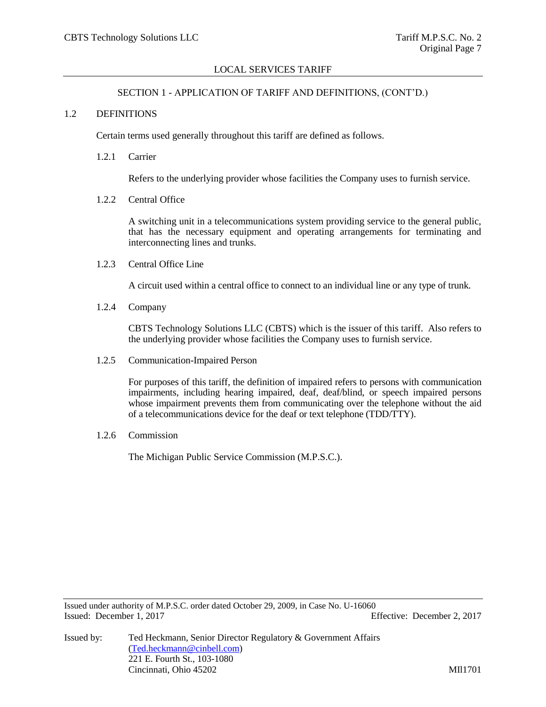#### SECTION 1 - APPLICATION OF TARIFF AND DEFINITIONS, (CONT'D.)

#### 1.2 DEFINITIONS

Certain terms used generally throughout this tariff are defined as follows.

1.2.1 Carrier

Refers to the underlying provider whose facilities the Company uses to furnish service.

1.2.2 Central Office

A switching unit in a telecommunications system providing service to the general public, that has the necessary equipment and operating arrangements for terminating and interconnecting lines and trunks.

1.2.3 Central Office Line

A circuit used within a central office to connect to an individual line or any type of trunk.

1.2.4 Company

CBTS Technology Solutions LLC (CBTS) which is the issuer of this tariff. Also refers to the underlying provider whose facilities the Company uses to furnish service.

1.2.5 Communication-Impaired Person

For purposes of this tariff, the definition of impaired refers to persons with communication impairments, including hearing impaired, deaf, deaf/blind, or speech impaired persons whose impairment prevents them from communicating over the telephone without the aid of a telecommunications device for the deaf or text telephone (TDD/TTY).

1.2.6 Commission

The Michigan Public Service Commission (M.P.S.C.).

Issued under authority of M.P.S.C. order dated October 29, 2009, in Case No. U-16060 Issued: December 1, 2017 Effective: December 2, 2017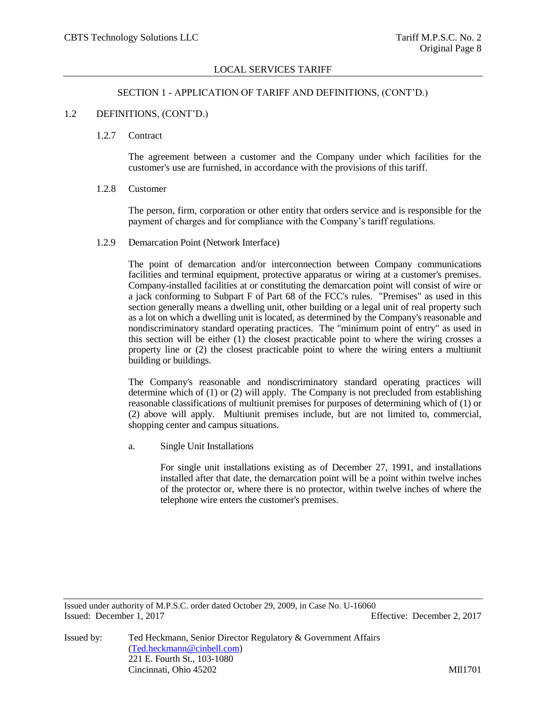#### SECTION 1 - APPLICATION OF TARIFF AND DEFINITIONS, (CONT'D.)

#### 1.2 DEFINITIONS, (CONT'D.)

#### 1.2.7 Contract

The agreement between a customer and the Company under which facilities for the customer's use are furnished, in accordance with the provisions of this tariff.

#### 1.2.8 Customer

The person, firm, corporation or other entity that orders service and is responsible for the payment of charges and for compliance with the Company's tariff regulations.

1.2.9 Demarcation Point (Network Interface)

The point of demarcation and/or interconnection between Company communications facilities and terminal equipment, protective apparatus or wiring at a customer's premises. Company-installed facilities at or constituting the demarcation point will consist of wire or a jack conforming to Subpart F of Part 68 of the FCC's rules. "Premises" as used in this section generally means a dwelling unit, other building or a legal unit of real property such as a lot on which a dwelling unit is located, as determined by the Company's reasonable and nondiscriminatory standard operating practices. The "minimum point of entry" as used in this section will be either  $(1)$  the closest practicable point to where the wiring crosses a property line or (2) the closest practicable point to where the wiring enters a multiunit building or buildings.

The Company's reasonable and nondiscriminatory standard operating practices will determine which of (1) or (2) will apply. The Company is not precluded from establishing reasonable classifications of multiunit premises for purposes of determining which of (1) or (2) above will apply. Multiunit premises include, but are not limited to, commercial, shopping center and campus situations.

a. Single Unit Installations

For single unit installations existing as of December 27, 1991, and installations installed after that date, the demarcation point will be a point within twelve inches of the protector or, where there is no protector, within twelve inches of where the telephone wire enters the customer's premises.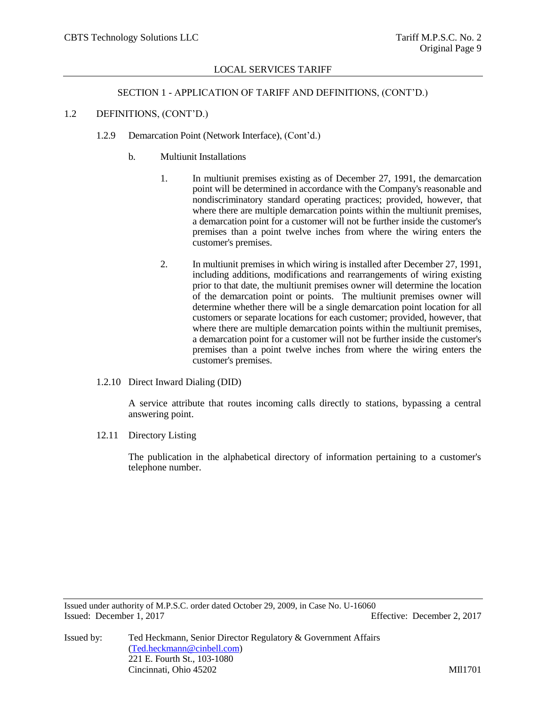### SECTION 1 - APPLICATION OF TARIFF AND DEFINITIONS, (CONT'D.)

# 1.2 DEFINITIONS, (CONT'D.)

- 1.2.9 Demarcation Point (Network Interface), (Cont'd.)
	- b. Multiunit Installations
		- 1. In multiunit premises existing as of December 27, 1991, the demarcation point will be determined in accordance with the Company's reasonable and nondiscriminatory standard operating practices; provided, however, that where there are multiple demarcation points within the multiunit premises, a demarcation point for a customer will not be further inside the customer's premises than a point twelve inches from where the wiring enters the customer's premises.
		- 2. In multiunit premises in which wiring is installed after December 27, 1991, including additions, modifications and rearrangements of wiring existing prior to that date, the multiunit premises owner will determine the location of the demarcation point or points. The multiunit premises owner will determine whether there will be a single demarcation point location for all customers or separate locations for each customer; provided, however, that where there are multiple demarcation points within the multiunit premises, a demarcation point for a customer will not be further inside the customer's premises than a point twelve inches from where the wiring enters the customer's premises.
- 1.2.10 Direct Inward Dialing (DID)

A service attribute that routes incoming calls directly to stations, bypassing a central answering point.

12.11 Directory Listing

The publication in the alphabetical directory of information pertaining to a customer's telephone number.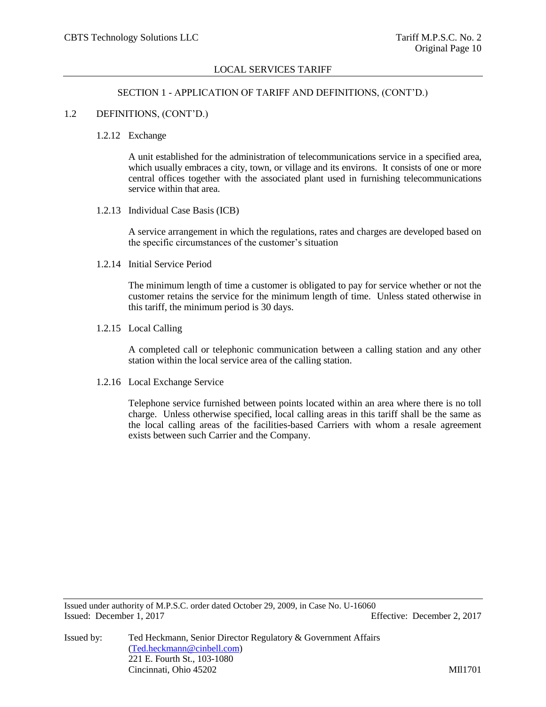#### SECTION 1 - APPLICATION OF TARIFF AND DEFINITIONS, (CONT'D.)

### 1.2 DEFINITIONS, (CONT'D.)

#### 1.2.12 Exchange

A unit established for the administration of telecommunications service in a specified area, which usually embraces a city, town, or village and its environs. It consists of one or more central offices together with the associated plant used in furnishing telecommunications service within that area.

1.2.13 Individual Case Basis (ICB)

A service arrangement in which the regulations, rates and charges are developed based on the specific circumstances of the customer's situation

1.2.14 Initial Service Period

The minimum length of time a customer is obligated to pay for service whether or not the customer retains the service for the minimum length of time. Unless stated otherwise in this tariff, the minimum period is 30 days.

1.2.15 Local Calling

A completed call or telephonic communication between a calling station and any other station within the local service area of the calling station.

1.2.16 Local Exchange Service

Telephone service furnished between points located within an area where there is no toll charge. Unless otherwise specified, local calling areas in this tariff shall be the same as the local calling areas of the facilities-based Carriers with whom a resale agreement exists between such Carrier and the Company.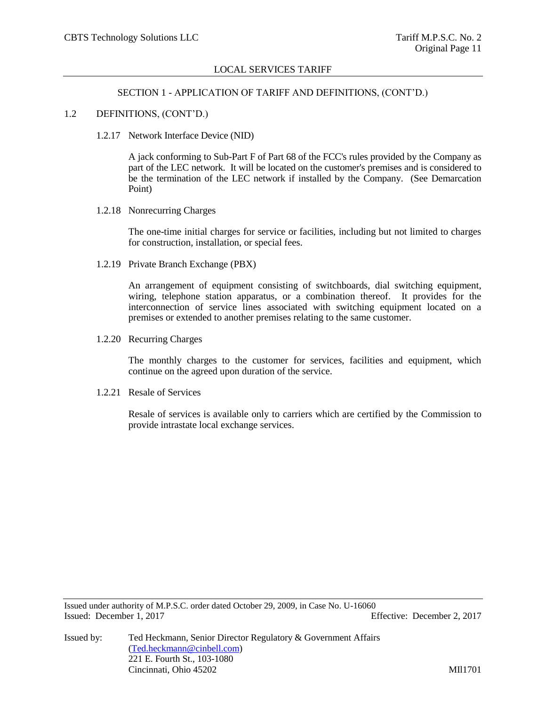#### SECTION 1 - APPLICATION OF TARIFF AND DEFINITIONS, (CONT'D.)

#### 1.2 DEFINITIONS, (CONT'D.)

1.2.17 Network Interface Device (NID)

A jack conforming to Sub-Part F of Part 68 of the FCC's rules provided by the Company as part of the LEC network. It will be located on the customer's premises and is considered to be the termination of the LEC network if installed by the Company. (See Demarcation Point)

1.2.18 Nonrecurring Charges

The one-time initial charges for service or facilities, including but not limited to charges for construction, installation, or special fees.

1.2.19 Private Branch Exchange (PBX)

An arrangement of equipment consisting of switchboards, dial switching equipment, wiring, telephone station apparatus, or a combination thereof. It provides for the interconnection of service lines associated with switching equipment located on a premises or extended to another premises relating to the same customer.

1.2.20 Recurring Charges

The monthly charges to the customer for services, facilities and equipment, which continue on the agreed upon duration of the service.

1.2.21 Resale of Services

Resale of services is available only to carriers which are certified by the Commission to provide intrastate local exchange services.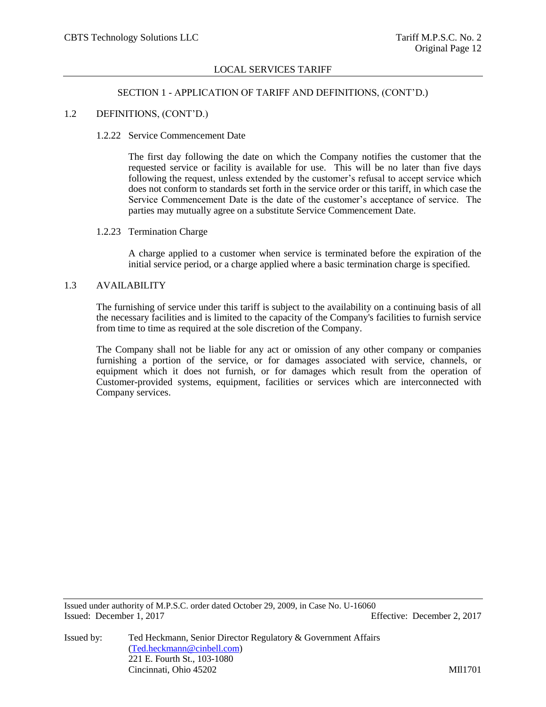# SECTION 1 - APPLICATION OF TARIFF AND DEFINITIONS, (CONT'D.)

#### 1.2 DEFINITIONS, (CONT'D.)

#### 1.2.22 Service Commencement Date

The first day following the date on which the Company notifies the customer that the requested service or facility is available for use. This will be no later than five days following the request, unless extended by the customer's refusal to accept service which does not conform to standards set forth in the service order or this tariff, in which case the Service Commencement Date is the date of the customer's acceptance of service. The parties may mutually agree on a substitute Service Commencement Date.

#### 1.2.23 Termination Charge

A charge applied to a customer when service is terminated before the expiration of the initial service period, or a charge applied where a basic termination charge is specified.

#### 1.3 AVAILABILITY

The furnishing of service under this tariff is subject to the availability on a continuing basis of all the necessary facilities and is limited to the capacity of the Company's facilities to furnish service from time to time as required at the sole discretion of the Company.

The Company shall not be liable for any act or omission of any other company or companies furnishing a portion of the service, or for damages associated with service, channels, or equipment which it does not furnish, or for damages which result from the operation of Customer-provided systems, equipment, facilities or services which are interconnected with Company services.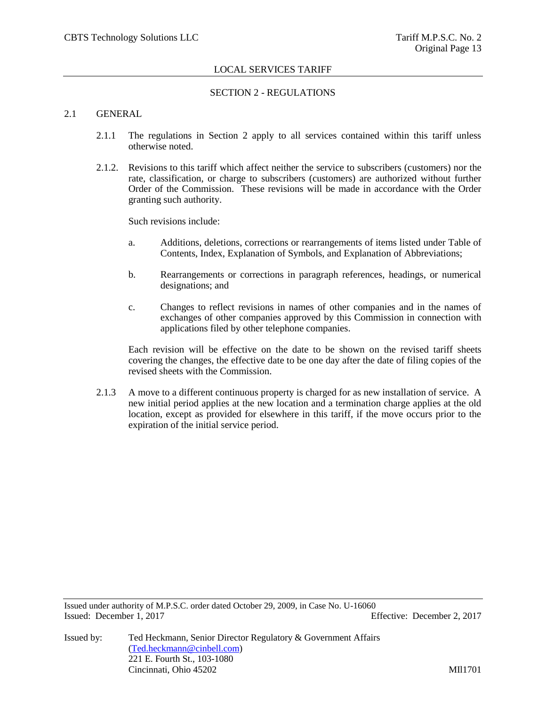### SECTION 2 - REGULATIONS

#### 2.1 GENERAL

- 2.1.1 The regulations in Section 2 apply to all services contained within this tariff unless otherwise noted.
- 2.1.2. Revisions to this tariff which affect neither the service to subscribers (customers) nor the rate, classification, or charge to subscribers (customers) are authorized without further Order of the Commission. These revisions will be made in accordance with the Order granting such authority.

Such revisions include:

- a. Additions, deletions, corrections or rearrangements of items listed under Table of Contents, Index, Explanation of Symbols, and Explanation of Abbreviations;
- b. Rearrangements or corrections in paragraph references, headings, or numerical designations; and
- c. Changes to reflect revisions in names of other companies and in the names of exchanges of other companies approved by this Commission in connection with applications filed by other telephone companies.

Each revision will be effective on the date to be shown on the revised tariff sheets covering the changes, the effective date to be one day after the date of filing copies of the revised sheets with the Commission.

2.1.3 A move to a different continuous property is charged for as new installation of service. A new initial period applies at the new location and a termination charge applies at the old location, except as provided for elsewhere in this tariff, if the move occurs prior to the expiration of the initial service period.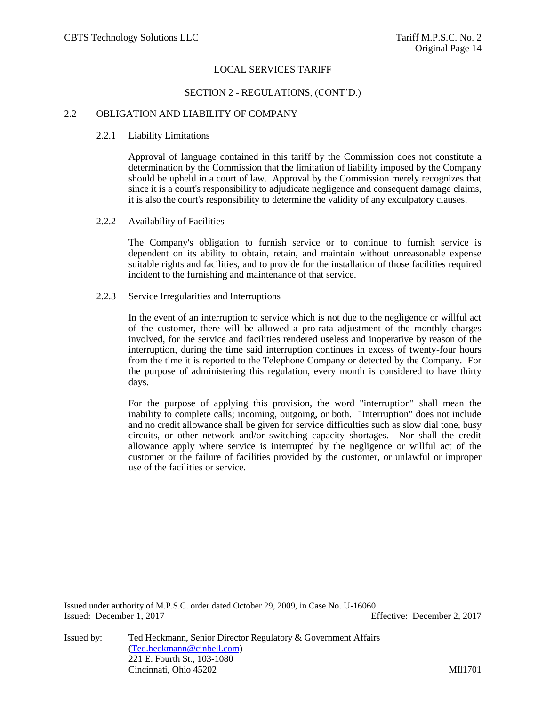### SECTION 2 - REGULATIONS, (CONT'D.)

# 2.2 OBLIGATION AND LIABILITY OF COMPANY

### 2.2.1 Liability Limitations

Approval of language contained in this tariff by the Commission does not constitute a determination by the Commission that the limitation of liability imposed by the Company should be upheld in a court of law. Approval by the Commission merely recognizes that since it is a court's responsibility to adjudicate negligence and consequent damage claims, it is also the court's responsibility to determine the validity of any exculpatory clauses.

# 2.2.2 Availability of Facilities

The Company's obligation to furnish service or to continue to furnish service is dependent on its ability to obtain, retain, and maintain without unreasonable expense suitable rights and facilities, and to provide for the installation of those facilities required incident to the furnishing and maintenance of that service.

# 2.2.3 Service Irregularities and Interruptions

In the event of an interruption to service which is not due to the negligence or willful act of the customer, there will be allowed a pro-rata adjustment of the monthly charges involved, for the service and facilities rendered useless and inoperative by reason of the interruption, during the time said interruption continues in excess of twenty-four hours from the time it is reported to the Telephone Company or detected by the Company. For the purpose of administering this regulation, every month is considered to have thirty days.

For the purpose of applying this provision, the word "interruption" shall mean the inability to complete calls; incoming, outgoing, or both. "Interruption" does not include and no credit allowance shall be given for service difficulties such as slow dial tone, busy circuits, or other network and/or switching capacity shortages. Nor shall the credit allowance apply where service is interrupted by the negligence or willful act of the customer or the failure of facilities provided by the customer, or unlawful or improper use of the facilities or service.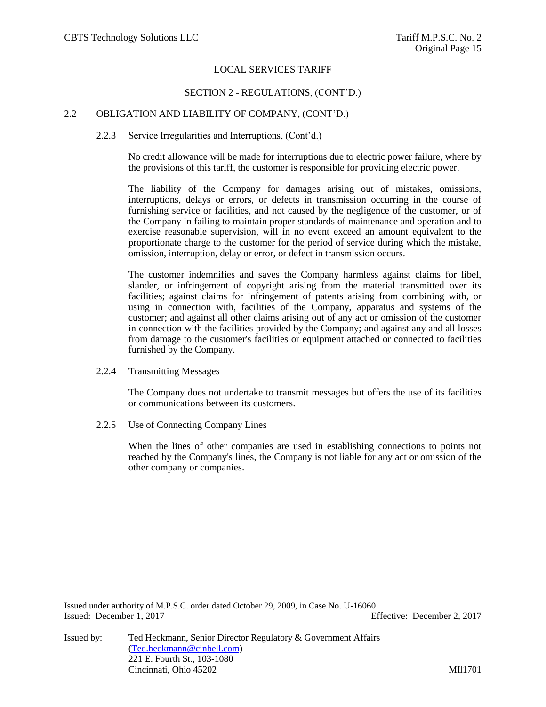# SECTION 2 - REGULATIONS, (CONT'D.)

# 2.2 OBLIGATION AND LIABILITY OF COMPANY, (CONT'D.)

### 2.2.3 Service Irregularities and Interruptions, (Cont'd.)

No credit allowance will be made for interruptions due to electric power failure, where by the provisions of this tariff, the customer is responsible for providing electric power.

The liability of the Company for damages arising out of mistakes, omissions, interruptions, delays or errors, or defects in transmission occurring in the course of furnishing service or facilities, and not caused by the negligence of the customer, or of the Company in failing to maintain proper standards of maintenance and operation and to exercise reasonable supervision, will in no event exceed an amount equivalent to the proportionate charge to the customer for the period of service during which the mistake, omission, interruption, delay or error, or defect in transmission occurs.

The customer indemnifies and saves the Company harmless against claims for libel, slander, or infringement of copyright arising from the material transmitted over its facilities; against claims for infringement of patents arising from combining with, or using in connection with, facilities of the Company, apparatus and systems of the customer; and against all other claims arising out of any act or omission of the customer in connection with the facilities provided by the Company; and against any and all losses from damage to the customer's facilities or equipment attached or connected to facilities furnished by the Company.

2.2.4 Transmitting Messages

The Company does not undertake to transmit messages but offers the use of its facilities or communications between its customers.

2.2.5 Use of Connecting Company Lines

When the lines of other companies are used in establishing connections to points not reached by the Company's lines, the Company is not liable for any act or omission of the other company or companies.

Issued under authority of M.P.S.C. order dated October 29, 2009, in Case No. U-16060 Issued: December 1, 2017 Effective: December 2, 2017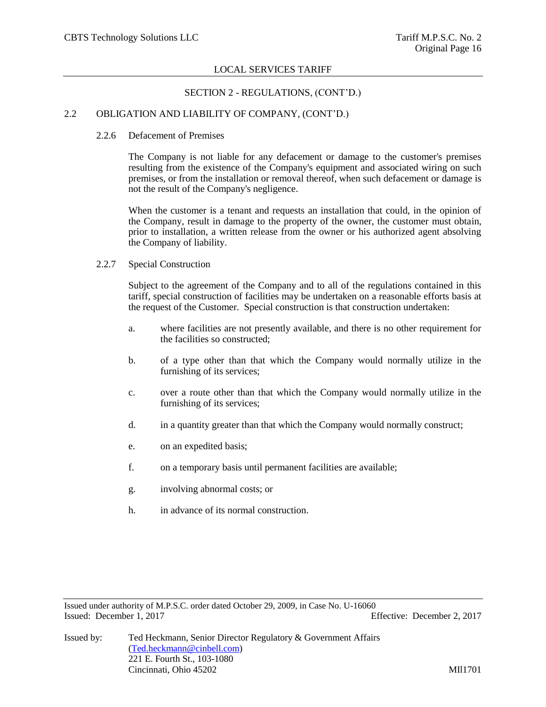# SECTION 2 - REGULATIONS, (CONT'D.)

# 2.2 OBLIGATION AND LIABILITY OF COMPANY, (CONT'D.)

#### 2.2.6 Defacement of Premises

The Company is not liable for any defacement or damage to the customer's premises resulting from the existence of the Company's equipment and associated wiring on such premises, or from the installation or removal thereof, when such defacement or damage is not the result of the Company's negligence.

When the customer is a tenant and requests an installation that could, in the opinion of the Company, result in damage to the property of the owner, the customer must obtain, prior to installation, a written release from the owner or his authorized agent absolving the Company of liability.

#### 2.2.7 Special Construction

Subject to the agreement of the Company and to all of the regulations contained in this tariff, special construction of facilities may be undertaken on a reasonable efforts basis at the request of the Customer. Special construction is that construction undertaken:

- a. where facilities are not presently available, and there is no other requirement for the facilities so constructed;
- b. of a type other than that which the Company would normally utilize in the furnishing of its services;
- c. over a route other than that which the Company would normally utilize in the furnishing of its services;
- d. in a quantity greater than that which the Company would normally construct;
- e. on an expedited basis;
- f. on a temporary basis until permanent facilities are available;
- g. involving abnormal costs; or
- h. in advance of its normal construction.

Issued under authority of M.P.S.C. order dated October 29, 2009, in Case No. U-16060 Issued: December 1, 2017 Effective: December 2, 2017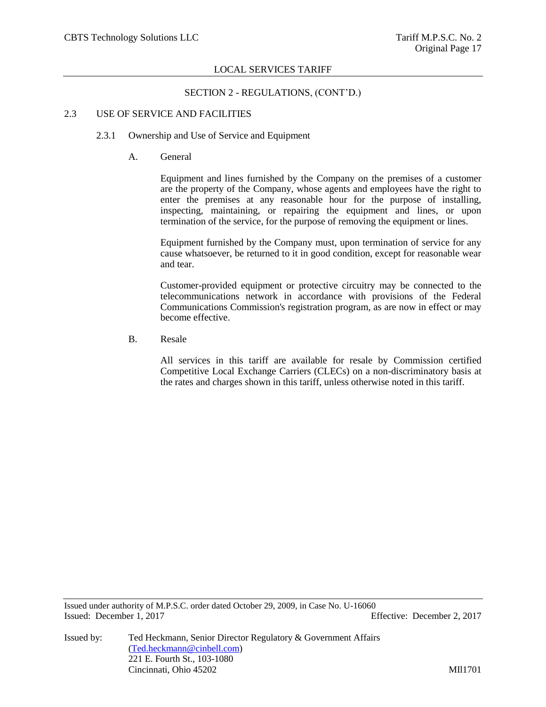# SECTION 2 - REGULATIONS, (CONT'D.)

### 2.3 USE OF SERVICE AND FACILITIES

# 2.3.1 Ownership and Use of Service and Equipment

A. General

Equipment and lines furnished by the Company on the premises of a customer are the property of the Company, whose agents and employees have the right to enter the premises at any reasonable hour for the purpose of installing, inspecting, maintaining, or repairing the equipment and lines, or upon termination of the service, for the purpose of removing the equipment or lines.

Equipment furnished by the Company must, upon termination of service for any cause whatsoever, be returned to it in good condition, except for reasonable wear and tear.

Customer-provided equipment or protective circuitry may be connected to the telecommunications network in accordance with provisions of the Federal Communications Commission's registration program, as are now in effect or may become effective.

B. Resale

All services in this tariff are available for resale by Commission certified Competitive Local Exchange Carriers (CLECs) on a non-discriminatory basis at the rates and charges shown in this tariff, unless otherwise noted in this tariff.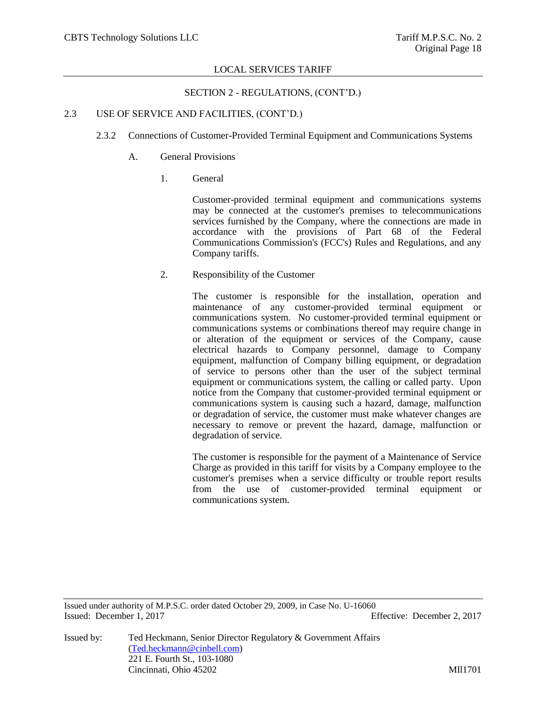SECTION 2 - REGULATIONS, (CONT'D.)

# 2.3 USE OF SERVICE AND FACILITIES, (CONT'D.)

- 2.3.2 Connections of Customer-Provided Terminal Equipment and Communications Systems
	- A. General Provisions
		- 1. General

Customer-provided terminal equipment and communications systems may be connected at the customer's premises to telecommunications services furnished by the Company, where the connections are made in accordance with the provisions of Part 68 of the Federal Communications Commission's (FCC's) Rules and Regulations, and any Company tariffs.

2. Responsibility of the Customer

The customer is responsible for the installation, operation and maintenance of any customer-provided terminal equipment or communications system. No customer-provided terminal equipment or communications systems or combinations thereof may require change in or alteration of the equipment or services of the Company, cause electrical hazards to Company personnel, damage to Company equipment, malfunction of Company billing equipment, or degradation of service to persons other than the user of the subject terminal equipment or communications system, the calling or called party. Upon notice from the Company that customer-provided terminal equipment or communications system is causing such a hazard, damage, malfunction or degradation of service, the customer must make whatever changes are necessary to remove or prevent the hazard, damage, malfunction or degradation of service.

The customer is responsible for the payment of a Maintenance of Service Charge as provided in this tariff for visits by a Company employee to the customer's premises when a service difficulty or trouble report results from the use of customer-provided terminal equipment or communications system.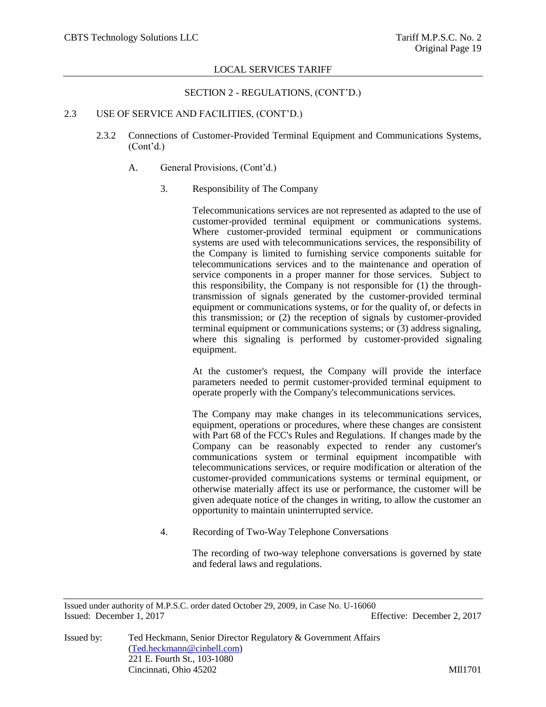### SECTION 2 - REGULATIONS, (CONT'D.)

### 2.3 USE OF SERVICE AND FACILITIES, (CONT'D.)

- 2.3.2 Connections of Customer-Provided Terminal Equipment and Communications Systems, (Cont'd.)
	- A. General Provisions, (Cont'd.)
		- 3. Responsibility of The Company

Telecommunications services are not represented as adapted to the use of customer-provided terminal equipment or communications systems. Where customer-provided terminal equipment or communications systems are used with telecommunications services, the responsibility of the Company is limited to furnishing service components suitable for telecommunications services and to the maintenance and operation of service components in a proper manner for those services. Subject to this responsibility, the Company is not responsible for (1) the throughtransmission of signals generated by the customer-provided terminal equipment or communications systems, or for the quality of, or defects in this transmission; or (2) the reception of signals by customer-provided terminal equipment or communications systems; or (3) address signaling, where this signaling is performed by customer-provided signaling equipment.

At the customer's request, the Company will provide the interface parameters needed to permit customer-provided terminal equipment to operate properly with the Company's telecommunications services.

The Company may make changes in its telecommunications services, equipment, operations or procedures, where these changes are consistent with Part 68 of the FCC's Rules and Regulations. If changes made by the Company can be reasonably expected to render any customer's communications system or terminal equipment incompatible with telecommunications services, or require modification or alteration of the customer-provided communications systems or terminal equipment, or otherwise materially affect its use or performance, the customer will be given adequate notice of the changes in writing, to allow the customer an opportunity to maintain uninterrupted service.

4. Recording of Two-Way Telephone Conversations

The recording of two-way telephone conversations is governed by state and federal laws and regulations.

Issued by: Ted Heckmann, Senior Director Regulatory & Government Affairs [\(Ted.heckmann@cinbell.com\)](mailto:Ted.heckmann@cinbell.com) 221 E. Fourth St., 103-1080 Cincinnati, Ohio 45202 MIl1701

Issued under authority of M.P.S.C. order dated October 29, 2009, in Case No. U-16060 Issued: December 1, 2017 Effective: December 2, 2017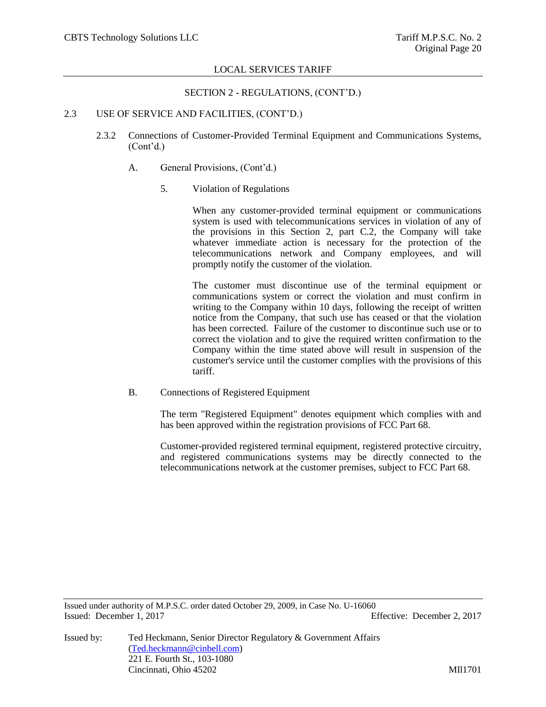### SECTION 2 - REGULATIONS, (CONT'D.)

# 2.3 USE OF SERVICE AND FACILITIES, (CONT'D.)

- 2.3.2 Connections of Customer-Provided Terminal Equipment and Communications Systems, (Cont'd.)
	- A. General Provisions, (Cont'd.)
		- 5. Violation of Regulations

When any customer-provided terminal equipment or communications system is used with telecommunications services in violation of any of the provisions in this Section 2, part C.2, the Company will take whatever immediate action is necessary for the protection of the telecommunications network and Company employees, and will promptly notify the customer of the violation.

The customer must discontinue use of the terminal equipment or communications system or correct the violation and must confirm in writing to the Company within 10 days, following the receipt of written notice from the Company, that such use has ceased or that the violation has been corrected. Failure of the customer to discontinue such use or to correct the violation and to give the required written confirmation to the Company within the time stated above will result in suspension of the customer's service until the customer complies with the provisions of this tariff.

B. Connections of Registered Equipment

The term "Registered Equipment" denotes equipment which complies with and has been approved within the registration provisions of FCC Part 68.

Customer-provided registered terminal equipment, registered protective circuitry, and registered communications systems may be directly connected to the telecommunications network at the customer premises, subject to FCC Part 68.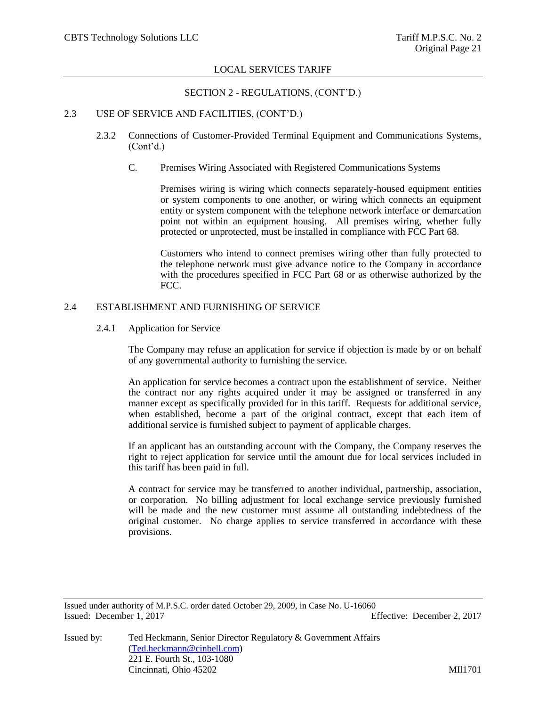# SECTION 2 - REGULATIONS, (CONT'D.)

# 2.3 USE OF SERVICE AND FACILITIES, (CONT'D.)

- 2.3.2 Connections of Customer-Provided Terminal Equipment and Communications Systems, (Cont'd.)
	- C. Premises Wiring Associated with Registered Communications Systems

Premises wiring is wiring which connects separately-housed equipment entities or system components to one another, or wiring which connects an equipment entity or system component with the telephone network interface or demarcation point not within an equipment housing. All premises wiring, whether fully protected or unprotected, must be installed in compliance with FCC Part 68.

Customers who intend to connect premises wiring other than fully protected to the telephone network must give advance notice to the Company in accordance with the procedures specified in FCC Part 68 or as otherwise authorized by the FCC.

# 2.4 ESTABLISHMENT AND FURNISHING OF SERVICE

### 2.4.1 Application for Service

The Company may refuse an application for service if objection is made by or on behalf of any governmental authority to furnishing the service.

An application for service becomes a contract upon the establishment of service. Neither the contract nor any rights acquired under it may be assigned or transferred in any manner except as specifically provided for in this tariff. Requests for additional service, when established, become a part of the original contract, except that each item of additional service is furnished subject to payment of applicable charges.

If an applicant has an outstanding account with the Company, the Company reserves the right to reject application for service until the amount due for local services included in this tariff has been paid in full.

A contract for service may be transferred to another individual, partnership, association, or corporation. No billing adjustment for local exchange service previously furnished will be made and the new customer must assume all outstanding indebtedness of the original customer. No charge applies to service transferred in accordance with these provisions.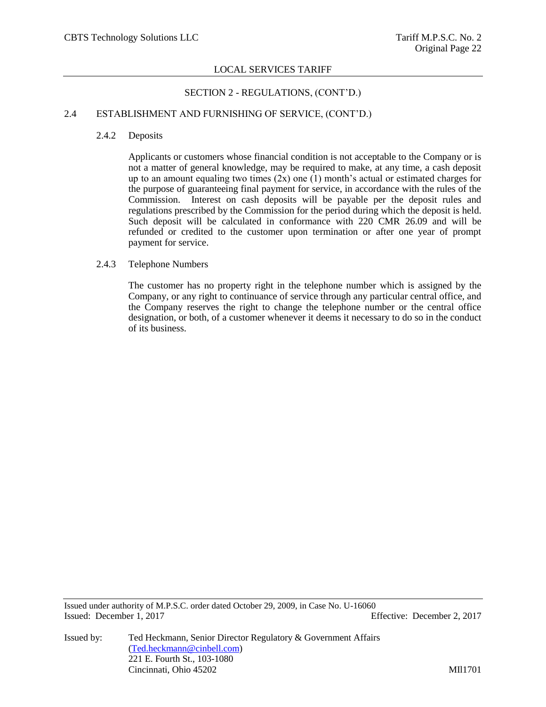# SECTION 2 - REGULATIONS, (CONT'D.)

# 2.4 ESTABLISHMENT AND FURNISHING OF SERVICE, (CONT'D.)

### 2.4.2 Deposits

Applicants or customers whose financial condition is not acceptable to the Company or is not a matter of general knowledge, may be required to make, at any time, a cash deposit up to an amount equaling two times  $(2x)$  one  $(1)$  month's actual or estimated charges for the purpose of guaranteeing final payment for service, in accordance with the rules of the Commission. Interest on cash deposits will be payable per the deposit rules and regulations prescribed by the Commission for the period during which the deposit is held. Such deposit will be calculated in conformance with 220 CMR 26.09 and will be refunded or credited to the customer upon termination or after one year of prompt payment for service.

### 2.4.3 Telephone Numbers

The customer has no property right in the telephone number which is assigned by the Company, or any right to continuance of service through any particular central office, and the Company reserves the right to change the telephone number or the central office designation, or both, of a customer whenever it deems it necessary to do so in the conduct of its business.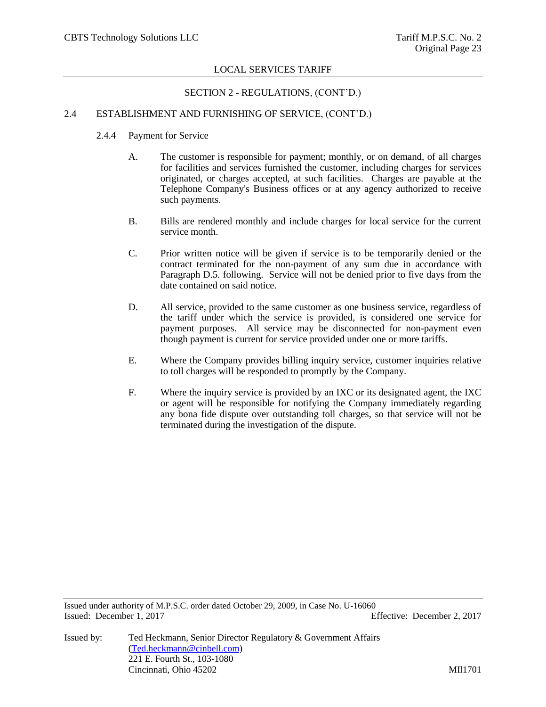# SECTION 2 - REGULATIONS, (CONT'D.)

# 2.4 ESTABLISHMENT AND FURNISHING OF SERVICE, (CONT'D.)

- 2.4.4 Payment for Service
	- A. The customer is responsible for payment; monthly, or on demand, of all charges for facilities and services furnished the customer, including charges for services originated, or charges accepted, at such facilities. Charges are payable at the Telephone Company's Business offices or at any agency authorized to receive such payments.
	- B. Bills are rendered monthly and include charges for local service for the current service month.
	- C. Prior written notice will be given if service is to be temporarily denied or the contract terminated for the non-payment of any sum due in accordance with Paragraph D.5. following. Service will not be denied prior to five days from the date contained on said notice.
	- D. All service, provided to the same customer as one business service, regardless of the tariff under which the service is provided, is considered one service for payment purposes. All service may be disconnected for non-payment even though payment is current for service provided under one or more tariffs.
	- E. Where the Company provides billing inquiry service, customer inquiries relative to toll charges will be responded to promptly by the Company.
	- F. Where the inquiry service is provided by an IXC or its designated agent, the IXC or agent will be responsible for notifying the Company immediately regarding any bona fide dispute over outstanding toll charges, so that service will not be terminated during the investigation of the dispute.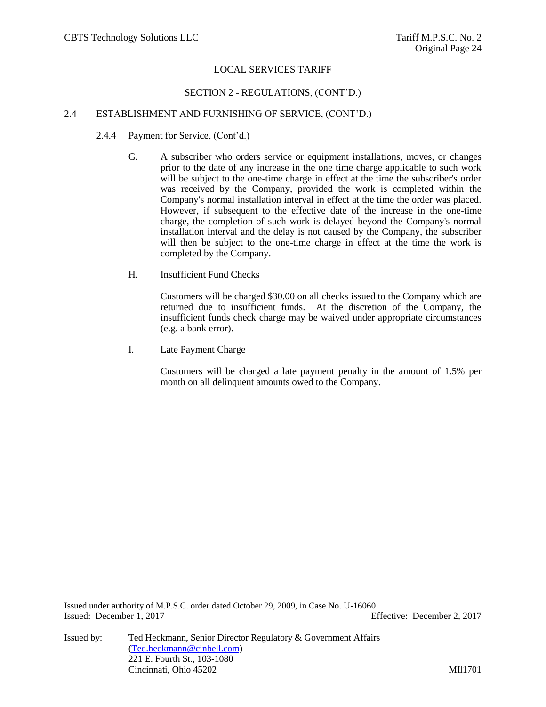# SECTION 2 - REGULATIONS, (CONT'D.)

# 2.4 ESTABLISHMENT AND FURNISHING OF SERVICE, (CONT'D.)

- 2.4.4 Payment for Service, (Cont'd.)
	- G. A subscriber who orders service or equipment installations, moves, or changes prior to the date of any increase in the one time charge applicable to such work will be subject to the one-time charge in effect at the time the subscriber's order was received by the Company, provided the work is completed within the Company's normal installation interval in effect at the time the order was placed. However, if subsequent to the effective date of the increase in the one-time charge, the completion of such work is delayed beyond the Company's normal installation interval and the delay is not caused by the Company, the subscriber will then be subject to the one-time charge in effect at the time the work is completed by the Company.
	- H. Insufficient Fund Checks

Customers will be charged \$30.00 on all checks issued to the Company which are returned due to insufficient funds. At the discretion of the Company, the insufficient funds check charge may be waived under appropriate circumstances (e.g. a bank error).

I. Late Payment Charge

Customers will be charged a late payment penalty in the amount of 1.5% per month on all delinquent amounts owed to the Company.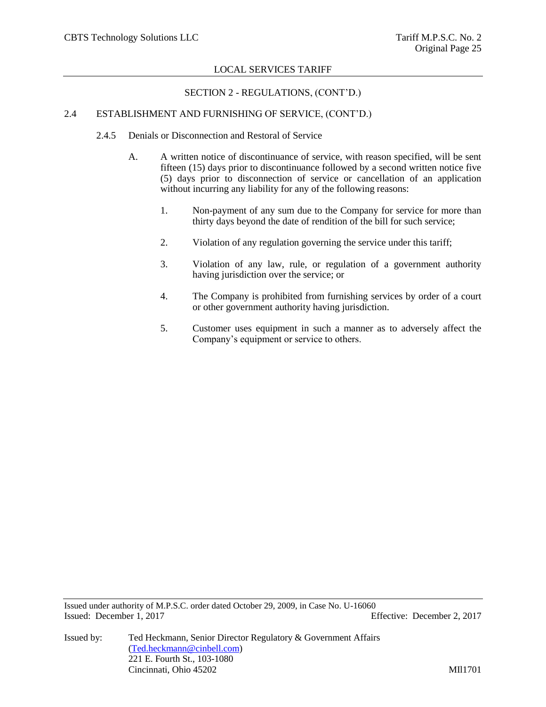# SECTION 2 - REGULATIONS, (CONT'D.)

# 2.4 ESTABLISHMENT AND FURNISHING OF SERVICE, (CONT'D.)

- 2.4.5 Denials or Disconnection and Restoral of Service
	- A. A written notice of discontinuance of service, with reason specified, will be sent fifteen (15) days prior to discontinuance followed by a second written notice five (5) days prior to disconnection of service or cancellation of an application without incurring any liability for any of the following reasons:
		- 1. Non-payment of any sum due to the Company for service for more than thirty days beyond the date of rendition of the bill for such service;
		- 2. Violation of any regulation governing the service under this tariff;
		- 3. Violation of any law, rule, or regulation of a government authority having jurisdiction over the service; or
		- 4. The Company is prohibited from furnishing services by order of a court or other government authority having jurisdiction.
		- 5. Customer uses equipment in such a manner as to adversely affect the Company's equipment or service to others.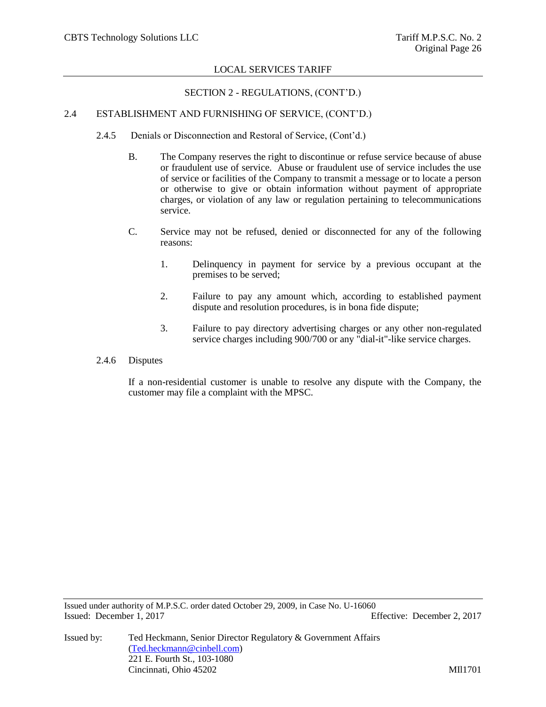# SECTION 2 - REGULATIONS, (CONT'D.)

# 2.4 ESTABLISHMENT AND FURNISHING OF SERVICE, (CONT'D.)

- 2.4.5 Denials or Disconnection and Restoral of Service, (Cont'd.)
	- B. The Company reserves the right to discontinue or refuse service because of abuse or fraudulent use of service. Abuse or fraudulent use of service includes the use of service or facilities of the Company to transmit a message or to locate a person or otherwise to give or obtain information without payment of appropriate charges, or violation of any law or regulation pertaining to telecommunications service.
	- C. Service may not be refused, denied or disconnected for any of the following reasons:
		- 1. Delinquency in payment for service by a previous occupant at the premises to be served;
		- 2. Failure to pay any amount which, according to established payment dispute and resolution procedures, is in bona fide dispute;
		- 3. Failure to pay directory advertising charges or any other non-regulated service charges including 900/700 or any "dial-it"-like service charges.
- 2.4.6 Disputes

If a non-residential customer is unable to resolve any dispute with the Company, the customer may file a complaint with the MPSC.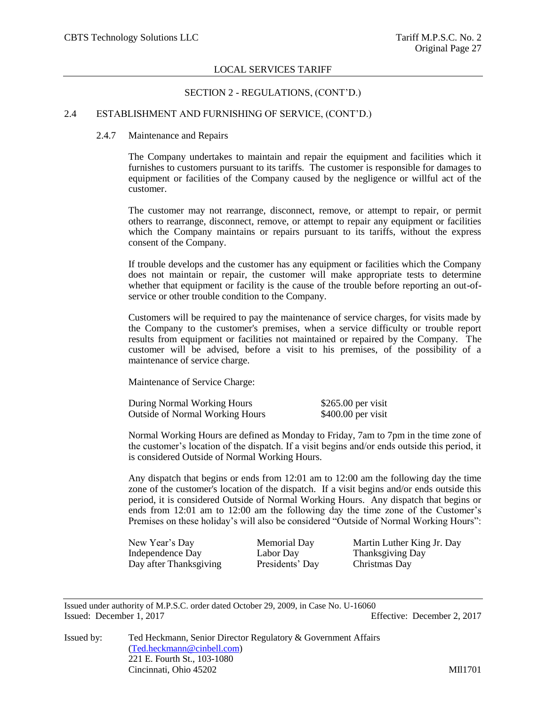### SECTION 2 - REGULATIONS, (CONT'D.)

# 2.4 ESTABLISHMENT AND FURNISHING OF SERVICE, (CONT'D.)

#### 2.4.7 Maintenance and Repairs

The Company undertakes to maintain and repair the equipment and facilities which it furnishes to customers pursuant to its tariffs. The customer is responsible for damages to equipment or facilities of the Company caused by the negligence or willful act of the customer.

The customer may not rearrange, disconnect, remove, or attempt to repair, or permit others to rearrange, disconnect, remove, or attempt to repair any equipment or facilities which the Company maintains or repairs pursuant to its tariffs, without the express consent of the Company.

If trouble develops and the customer has any equipment or facilities which the Company does not maintain or repair, the customer will make appropriate tests to determine whether that equipment or facility is the cause of the trouble before reporting an out-ofservice or other trouble condition to the Company.

Customers will be required to pay the maintenance of service charges, for visits made by the Company to the customer's premises, when a service difficulty or trouble report results from equipment or facilities not maintained or repaired by the Company. The customer will be advised, before a visit to his premises, of the possibility of a maintenance of service charge.

Maintenance of Service Charge:

| During Normal Working Hours            | $$265.00$ per visit |
|----------------------------------------|---------------------|
| <b>Outside of Normal Working Hours</b> | $$400.00$ per visit |

Normal Working Hours are defined as Monday to Friday, 7am to 7pm in the time zone of the customer's location of the dispatch. If a visit begins and/or ends outside this period, it is considered Outside of Normal Working Hours.

Any dispatch that begins or ends from 12:01 am to 12:00 am the following day the time zone of the customer's location of the dispatch. If a visit begins and/or ends outside this period, it is considered Outside of Normal Working Hours. Any dispatch that begins or ends from 12:01 am to 12:00 am the following day the time zone of the Customer's Premises on these holiday's will also be considered "Outside of Normal Working Hours":

Independence Day Labor Day Thanksgiving Day Day after Thanksgiving Presidents' Day Christmas Day

New Year's Day Memorial Day Martin Luther King Jr. Day

Issued under authority of M.P.S.C. order dated October 29, 2009, in Case No. U-16060 Issued: December 1, 2017 Effective: December 2, 2017

Issued by: Ted Heckmann, Senior Director Regulatory & Government Affairs [\(Ted.heckmann@cinbell.com\)](mailto:Ted.heckmann@cinbell.com) 221 E. Fourth St., 103-1080 Cincinnati, Ohio 45202 MIl1701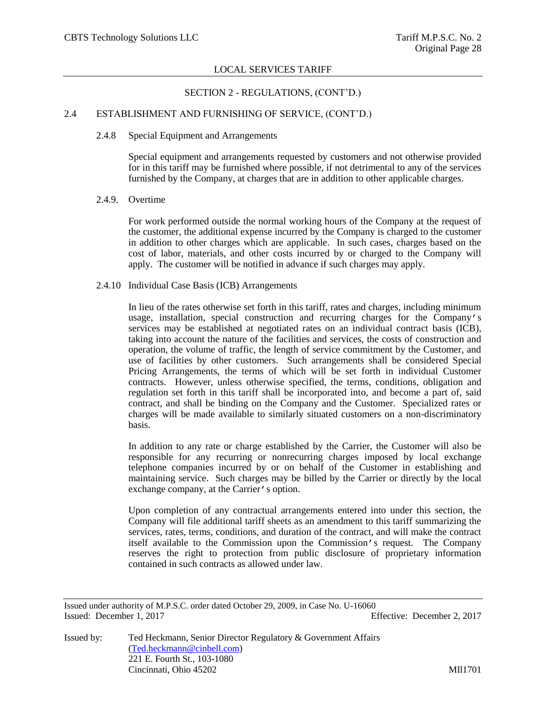# SECTION 2 - REGULATIONS, (CONT'D.)

# 2.4 ESTABLISHMENT AND FURNISHING OF SERVICE, (CONT'D.)

#### 2.4.8 Special Equipment and Arrangements

Special equipment and arrangements requested by customers and not otherwise provided for in this tariff may be furnished where possible, if not detrimental to any of the services furnished by the Company, at charges that are in addition to other applicable charges.

#### 2.4.9. Overtime

For work performed outside the normal working hours of the Company at the request of the customer, the additional expense incurred by the Company is charged to the customer in addition to other charges which are applicable. In such cases, charges based on the cost of labor, materials, and other costs incurred by or charged to the Company will apply. The customer will be notified in advance if such charges may apply.

#### 2.4.10 Individual Case Basis (ICB) Arrangements

In lieu of the rates otherwise set forth in this tariff, rates and charges, including minimum usage, installation, special construction and recurring charges for the Company's services may be established at negotiated rates on an individual contract basis (ICB), taking into account the nature of the facilities and services, the costs of construction and operation, the volume of traffic, the length of service commitment by the Customer, and use of facilities by other customers. Such arrangements shall be considered Special Pricing Arrangements, the terms of which will be set forth in individual Customer contracts. However, unless otherwise specified, the terms, conditions, obligation and regulation set forth in this tariff shall be incorporated into, and become a part of, said contract, and shall be binding on the Company and the Customer. Specialized rates or charges will be made available to similarly situated customers on a non-discriminatory basis.

In addition to any rate or charge established by the Carrier, the Customer will also be responsible for any recurring or nonrecurring charges imposed by local exchange telephone companies incurred by or on behalf of the Customer in establishing and maintaining service. Such charges may be billed by the Carrier or directly by the local exchange company, at the Carrier's option.

Upon completion of any contractual arrangements entered into under this section, the Company will file additional tariff sheets as an amendment to this tariff summarizing the services, rates, terms, conditions, and duration of the contract, and will make the contract itself available to the Commission upon the Commission's request. The Company reserves the right to protection from public disclosure of proprietary information contained in such contracts as allowed under law.

Issued under authority of M.P.S.C. order dated October 29, 2009, in Case No. U-16060 Issued: December 1, 2017 Effective: December 2, 2017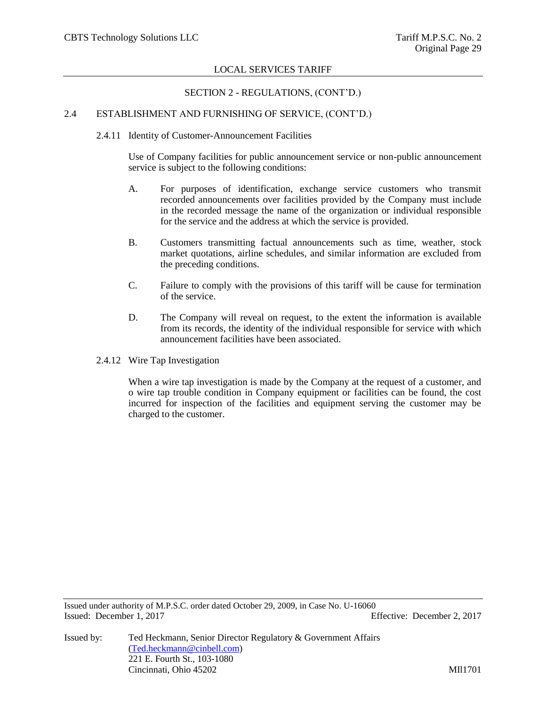# SECTION 2 - REGULATIONS, (CONT'D.)

# 2.4 ESTABLISHMENT AND FURNISHING OF SERVICE, (CONT'D.)

2.4.11 Identity of Customer-Announcement Facilities

Use of Company facilities for public announcement service or non-public announcement service is subject to the following conditions:

- A. For purposes of identification, exchange service customers who transmit recorded announcements over facilities provided by the Company must include in the recorded message the name of the organization or individual responsible for the service and the address at which the service is provided.
- B. Customers transmitting factual announcements such as time, weather, stock market quotations, airline schedules, and similar information are excluded from the preceding conditions.
- C. Failure to comply with the provisions of this tariff will be cause for termination of the service.
- D. The Company will reveal on request, to the extent the information is available from its records, the identity of the individual responsible for service with which announcement facilities have been associated.
- 2.4.12 Wire Tap Investigation

When a wire tap investigation is made by the Company at the request of a customer, and o wire tap trouble condition in Company equipment or facilities can be found, the cost incurred for inspection of the facilities and equipment serving the customer may be charged to the customer.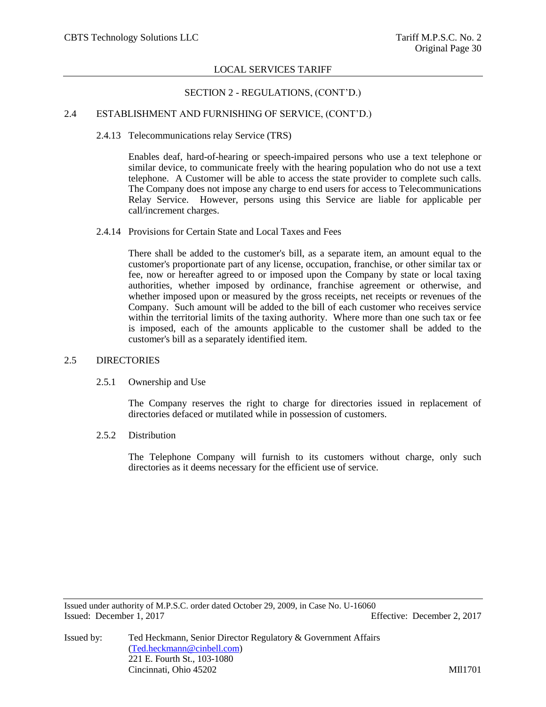# SECTION 2 - REGULATIONS, (CONT'D.)

# 2.4 ESTABLISHMENT AND FURNISHING OF SERVICE, (CONT'D.)

### 2.4.13 Telecommunications relay Service (TRS)

Enables deaf, hard-of-hearing or speech-impaired persons who use a text telephone or similar device, to communicate freely with the hearing population who do not use a text telephone. A Customer will be able to access the state provider to complete such calls. The Company does not impose any charge to end users for access to Telecommunications Relay Service. However, persons using this Service are liable for applicable per call/increment charges.

# 2.4.14 Provisions for Certain State and Local Taxes and Fees

There shall be added to the customer's bill, as a separate item, an amount equal to the customer's proportionate part of any license, occupation, franchise, or other similar tax or fee, now or hereafter agreed to or imposed upon the Company by state or local taxing authorities, whether imposed by ordinance, franchise agreement or otherwise, and whether imposed upon or measured by the gross receipts, net receipts or revenues of the Company. Such amount will be added to the bill of each customer who receives service within the territorial limits of the taxing authority. Where more than one such tax or fee is imposed, each of the amounts applicable to the customer shall be added to the customer's bill as a separately identified item.

### 2.5 DIRECTORIES

### 2.5.1 Ownership and Use

The Company reserves the right to charge for directories issued in replacement of directories defaced or mutilated while in possession of customers.

### 2.5.2 Distribution

The Telephone Company will furnish to its customers without charge, only such directories as it deems necessary for the efficient use of service.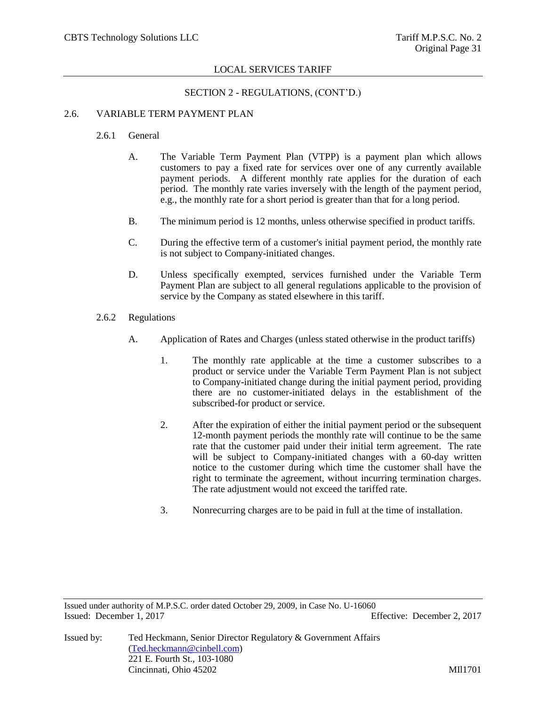# SECTION 2 - REGULATIONS, (CONT'D.)

# 2.6. VARIABLE TERM PAYMENT PLAN

- 2.6.1 General
	- A. The Variable Term Payment Plan (VTPP) is a payment plan which allows customers to pay a fixed rate for services over one of any currently available payment periods. A different monthly rate applies for the duration of each period. The monthly rate varies inversely with the length of the payment period, e.g., the monthly rate for a short period is greater than that for a long period.
	- B. The minimum period is 12 months, unless otherwise specified in product tariffs.
	- C. During the effective term of a customer's initial payment period, the monthly rate is not subject to Company-initiated changes.
	- D. Unless specifically exempted, services furnished under the Variable Term Payment Plan are subject to all general regulations applicable to the provision of service by the Company as stated elsewhere in this tariff.
- 2.6.2 Regulations
	- A. Application of Rates and Charges (unless stated otherwise in the product tariffs)
		- 1. The monthly rate applicable at the time a customer subscribes to a product or service under the Variable Term Payment Plan is not subject to Company-initiated change during the initial payment period, providing there are no customer-initiated delays in the establishment of the subscribed-for product or service.
		- 2. After the expiration of either the initial payment period or the subsequent 12-month payment periods the monthly rate will continue to be the same rate that the customer paid under their initial term agreement. The rate will be subject to Company-initiated changes with a 60-day written notice to the customer during which time the customer shall have the right to terminate the agreement, without incurring termination charges. The rate adjustment would not exceed the tariffed rate.
		- 3. Nonrecurring charges are to be paid in full at the time of installation.

Issued under authority of M.P.S.C. order dated October 29, 2009, in Case No. U-16060 Issued: December 1, 2017 Effective: December 2, 2017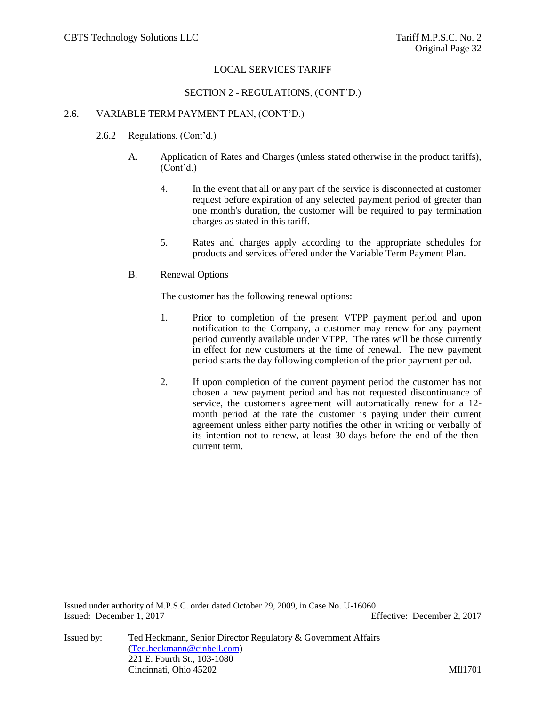# SECTION 2 - REGULATIONS, (CONT'D.)

# 2.6. VARIABLE TERM PAYMENT PLAN, (CONT'D.)

- 2.6.2 Regulations, (Cont'd.)
	- A. Application of Rates and Charges (unless stated otherwise in the product tariffs), (Cont'd.)
		- 4. In the event that all or any part of the service is disconnected at customer request before expiration of any selected payment period of greater than one month's duration, the customer will be required to pay termination charges as stated in this tariff.
		- 5. Rates and charges apply according to the appropriate schedules for products and services offered under the Variable Term Payment Plan.
	- B. Renewal Options

The customer has the following renewal options:

- 1. Prior to completion of the present VTPP payment period and upon notification to the Company, a customer may renew for any payment period currently available under VTPP. The rates will be those currently in effect for new customers at the time of renewal. The new payment period starts the day following completion of the prior payment period.
- 2. If upon completion of the current payment period the customer has not chosen a new payment period and has not requested discontinuance of service, the customer's agreement will automatically renew for a 12 month period at the rate the customer is paying under their current agreement unless either party notifies the other in writing or verbally of its intention not to renew, at least 30 days before the end of the thencurrent term.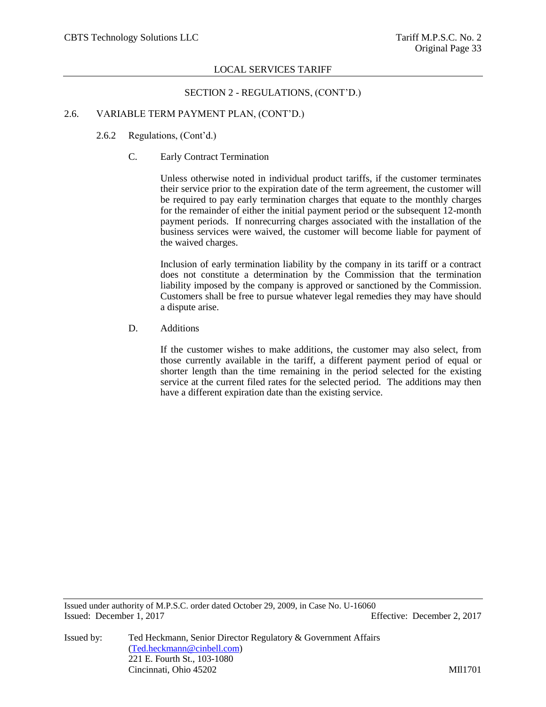### SECTION 2 - REGULATIONS, (CONT'D.)

# 2.6. VARIABLE TERM PAYMENT PLAN, (CONT'D.)

- 2.6.2 Regulations, (Cont'd.)
	- C. Early Contract Termination

Unless otherwise noted in individual product tariffs, if the customer terminates their service prior to the expiration date of the term agreement, the customer will be required to pay early termination charges that equate to the monthly charges for the remainder of either the initial payment period or the subsequent 12-month payment periods. If nonrecurring charges associated with the installation of the business services were waived, the customer will become liable for payment of the waived charges.

Inclusion of early termination liability by the company in its tariff or a contract does not constitute a determination by the Commission that the termination liability imposed by the company is approved or sanctioned by the Commission. Customers shall be free to pursue whatever legal remedies they may have should a dispute arise.

D. Additions

If the customer wishes to make additions, the customer may also select, from those currently available in the tariff, a different payment period of equal or shorter length than the time remaining in the period selected for the existing service at the current filed rates for the selected period. The additions may then have a different expiration date than the existing service.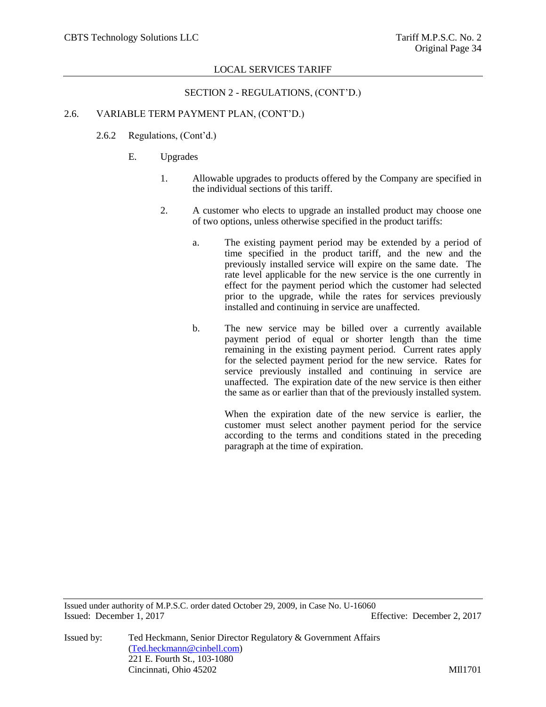# SECTION 2 - REGULATIONS, (CONT'D.)

# 2.6. VARIABLE TERM PAYMENT PLAN, (CONT'D.)

- 2.6.2 Regulations, (Cont'd.)
	- E. Upgrades
		- 1. Allowable upgrades to products offered by the Company are specified in the individual sections of this tariff.
		- 2. A customer who elects to upgrade an installed product may choose one of two options, unless otherwise specified in the product tariffs:
			- a. The existing payment period may be extended by a period of time specified in the product tariff, and the new and the previously installed service will expire on the same date. The rate level applicable for the new service is the one currently in effect for the payment period which the customer had selected prior to the upgrade, while the rates for services previously installed and continuing in service are unaffected.
			- b. The new service may be billed over a currently available payment period of equal or shorter length than the time remaining in the existing payment period. Current rates apply for the selected payment period for the new service. Rates for service previously installed and continuing in service are unaffected. The expiration date of the new service is then either the same as or earlier than that of the previously installed system.

When the expiration date of the new service is earlier, the customer must select another payment period for the service according to the terms and conditions stated in the preceding paragraph at the time of expiration.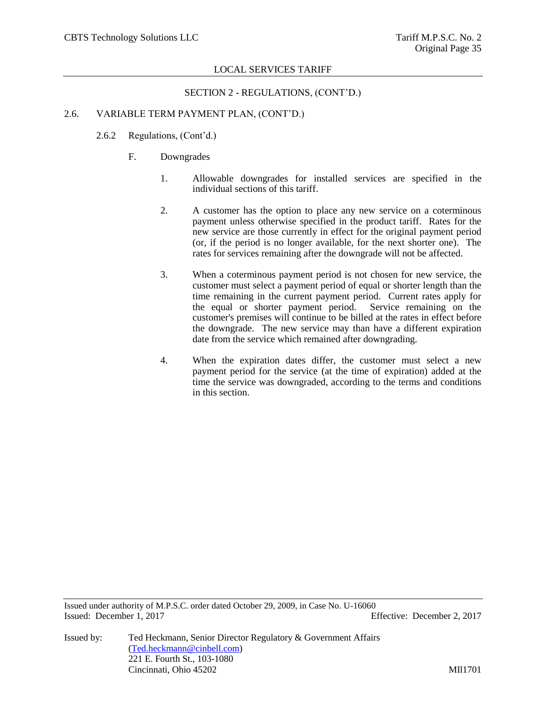### SECTION 2 - REGULATIONS, (CONT'D.)

# 2.6. VARIABLE TERM PAYMENT PLAN, (CONT'D.)

- 2.6.2 Regulations, (Cont'd.)
	- F. Downgrades
		- 1. Allowable downgrades for installed services are specified in the individual sections of this tariff.
		- 2. A customer has the option to place any new service on a coterminous payment unless otherwise specified in the product tariff. Rates for the new service are those currently in effect for the original payment period (or, if the period is no longer available, for the next shorter one). The rates for services remaining after the downgrade will not be affected.
		- 3. When a coterminous payment period is not chosen for new service, the customer must select a payment period of equal or shorter length than the time remaining in the current payment period. Current rates apply for the equal or shorter payment period. Service remaining on the customer's premises will continue to be billed at the rates in effect before the downgrade. The new service may than have a different expiration date from the service which remained after downgrading.
		- 4. When the expiration dates differ, the customer must select a new payment period for the service (at the time of expiration) added at the time the service was downgraded, according to the terms and conditions in this section.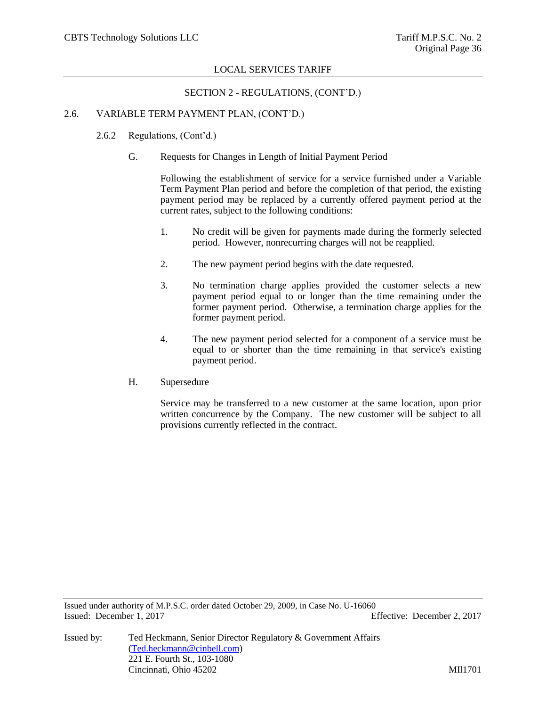SECTION 2 - REGULATIONS, (CONT'D.)

# 2.6. VARIABLE TERM PAYMENT PLAN, (CONT'D.)

- 2.6.2 Regulations, (Cont'd.)
	- G. Requests for Changes in Length of Initial Payment Period

Following the establishment of service for a service furnished under a Variable Term Payment Plan period and before the completion of that period, the existing payment period may be replaced by a currently offered payment period at the current rates, subject to the following conditions:

- 1. No credit will be given for payments made during the formerly selected period. However, nonrecurring charges will not be reapplied.
- 2. The new payment period begins with the date requested.
- 3. No termination charge applies provided the customer selects a new payment period equal to or longer than the time remaining under the former payment period. Otherwise, a termination charge applies for the former payment period.
- 4. The new payment period selected for a component of a service must be equal to or shorter than the time remaining in that service's existing payment period.
- H. Supersedure

Service may be transferred to a new customer at the same location, upon prior written concurrence by the Company. The new customer will be subject to all provisions currently reflected in the contract.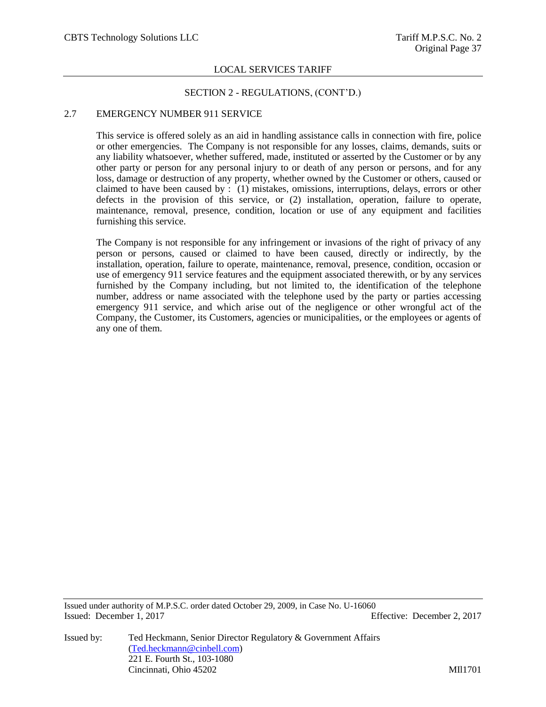### SECTION 2 - REGULATIONS, (CONT'D.)

## 2.7 EMERGENCY NUMBER 911 SERVICE

This service is offered solely as an aid in handling assistance calls in connection with fire, police or other emergencies. The Company is not responsible for any losses, claims, demands, suits or any liability whatsoever, whether suffered, made, instituted or asserted by the Customer or by any other party or person for any personal injury to or death of any person or persons, and for any loss, damage or destruction of any property, whether owned by the Customer or others, caused or claimed to have been caused by : (1) mistakes, omissions, interruptions, delays, errors or other defects in the provision of this service, or (2) installation, operation, failure to operate, maintenance, removal, presence, condition, location or use of any equipment and facilities furnishing this service.

The Company is not responsible for any infringement or invasions of the right of privacy of any person or persons, caused or claimed to have been caused, directly or indirectly, by the installation, operation, failure to operate, maintenance, removal, presence, condition, occasion or use of emergency 911 service features and the equipment associated therewith, or by any services furnished by the Company including, but not limited to, the identification of the telephone number, address or name associated with the telephone used by the party or parties accessing emergency 911 service, and which arise out of the negligence or other wrongful act of the Company, the Customer, its Customers, agencies or municipalities, or the employees or agents of any one of them.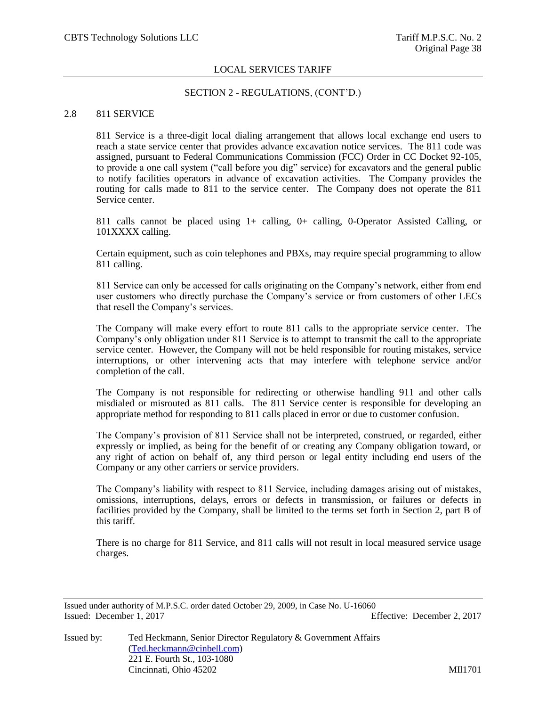### SECTION 2 - REGULATIONS, (CONT'D.)

### 2.8 811 SERVICE

811 Service is a three-digit local dialing arrangement that allows local exchange end users to reach a state service center that provides advance excavation notice services. The 811 code was assigned, pursuant to Federal Communications Commission (FCC) Order in CC Docket 92-105, to provide a one call system ("call before you dig" service) for excavators and the general public to notify facilities operators in advance of excavation activities. The Company provides the routing for calls made to 811 to the service center. The Company does not operate the 811 Service center.

811 calls cannot be placed using 1+ calling, 0+ calling, 0-Operator Assisted Calling, or 101XXXX calling.

Certain equipment, such as coin telephones and PBXs, may require special programming to allow 811 calling.

811 Service can only be accessed for calls originating on the Company's network, either from end user customers who directly purchase the Company's service or from customers of other LECs that resell the Company's services.

The Company will make every effort to route 811 calls to the appropriate service center. The Company's only obligation under 811 Service is to attempt to transmit the call to the appropriate service center. However, the Company will not be held responsible for routing mistakes, service interruptions, or other intervening acts that may interfere with telephone service and/or completion of the call.

The Company is not responsible for redirecting or otherwise handling 911 and other calls misdialed or misrouted as 811 calls. The 811 Service center is responsible for developing an appropriate method for responding to 811 calls placed in error or due to customer confusion.

The Company's provision of 811 Service shall not be interpreted, construed, or regarded, either expressly or implied, as being for the benefit of or creating any Company obligation toward, or any right of action on behalf of, any third person or legal entity including end users of the Company or any other carriers or service providers.

The Company's liability with respect to 811 Service, including damages arising out of mistakes, omissions, interruptions, delays, errors or defects in transmission, or failures or defects in facilities provided by the Company, shall be limited to the terms set forth in Section 2, part B of this tariff.

There is no charge for 811 Service, and 811 calls will not result in local measured service usage charges.

Issued under authority of M.P.S.C. order dated October 29, 2009, in Case No. U-16060 Issued: December 1, 2017 Effective: December 2, 2017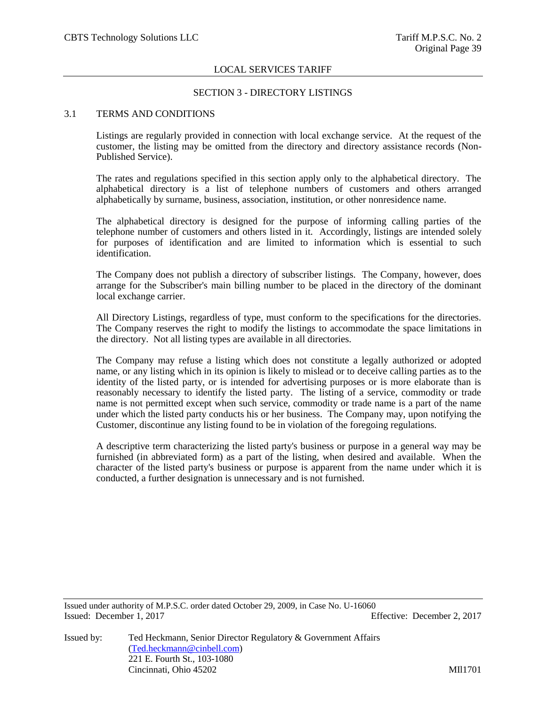# SECTION 3 - DIRECTORY LISTINGS

# 3.1 TERMS AND CONDITIONS

Listings are regularly provided in connection with local exchange service. At the request of the customer, the listing may be omitted from the directory and directory assistance records (Non-Published Service).

The rates and regulations specified in this section apply only to the alphabetical directory. The alphabetical directory is a list of telephone numbers of customers and others arranged alphabetically by surname, business, association, institution, or other nonresidence name.

The alphabetical directory is designed for the purpose of informing calling parties of the telephone number of customers and others listed in it. Accordingly, listings are intended solely for purposes of identification and are limited to information which is essential to such identification.

The Company does not publish a directory of subscriber listings. The Company, however, does arrange for the Subscriber's main billing number to be placed in the directory of the dominant local exchange carrier.

All Directory Listings, regardless of type, must conform to the specifications for the directories. The Company reserves the right to modify the listings to accommodate the space limitations in the directory. Not all listing types are available in all directories.

The Company may refuse a listing which does not constitute a legally authorized or adopted name, or any listing which in its opinion is likely to mislead or to deceive calling parties as to the identity of the listed party, or is intended for advertising purposes or is more elaborate than is reasonably necessary to identify the listed party. The listing of a service, commodity or trade name is not permitted except when such service, commodity or trade name is a part of the name under which the listed party conducts his or her business. The Company may, upon notifying the Customer, discontinue any listing found to be in violation of the foregoing regulations.

A descriptive term characterizing the listed party's business or purpose in a general way may be furnished (in abbreviated form) as a part of the listing, when desired and available. When the character of the listed party's business or purpose is apparent from the name under which it is conducted, a further designation is unnecessary and is not furnished.

Issued under authority of M.P.S.C. order dated October 29, 2009, in Case No. U-16060 Issued: December 1, 2017 Effective: December 2, 2017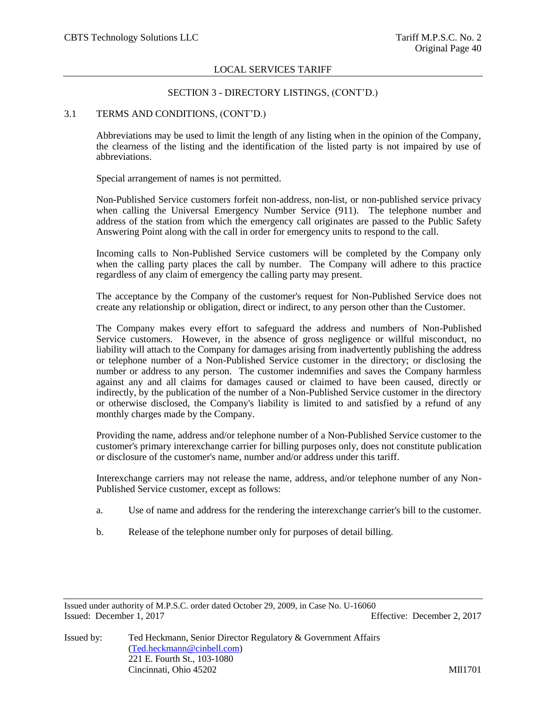# SECTION 3 - DIRECTORY LISTINGS, (CONT'D.)

### 3.1 TERMS AND CONDITIONS, (CONT'D.)

Abbreviations may be used to limit the length of any listing when in the opinion of the Company, the clearness of the listing and the identification of the listed party is not impaired by use of abbreviations.

Special arrangement of names is not permitted.

Non-Published Service customers forfeit non-address, non-list, or non-published service privacy when calling the Universal Emergency Number Service (911). The telephone number and address of the station from which the emergency call originates are passed to the Public Safety Answering Point along with the call in order for emergency units to respond to the call.

Incoming calls to Non-Published Service customers will be completed by the Company only when the calling party places the call by number. The Company will adhere to this practice regardless of any claim of emergency the calling party may present.

The acceptance by the Company of the customer's request for Non-Published Service does not create any relationship or obligation, direct or indirect, to any person other than the Customer.

The Company makes every effort to safeguard the address and numbers of Non-Published Service customers. However, in the absence of gross negligence or willful misconduct, no liability will attach to the Company for damages arising from inadvertently publishing the address or telephone number of a Non-Published Service customer in the directory; or disclosing the number or address to any person. The customer indemnifies and saves the Company harmless against any and all claims for damages caused or claimed to have been caused, directly or indirectly, by the publication of the number of a Non-Published Service customer in the directory or otherwise disclosed, the Company's liability is limited to and satisfied by a refund of any monthly charges made by the Company.

Providing the name, address and/or telephone number of a Non-Published Service customer to the customer's primary interexchange carrier for billing purposes only, does not constitute publication or disclosure of the customer's name, number and/or address under this tariff.

Interexchange carriers may not release the name, address, and/or telephone number of any Non-Published Service customer, except as follows:

- a. Use of name and address for the rendering the interexchange carrier's bill to the customer.
- b. Release of the telephone number only for purposes of detail billing.

Issued under authority of M.P.S.C. order dated October 29, 2009, in Case No. U-16060 Issued: December 1, 2017 Effective: December 2, 2017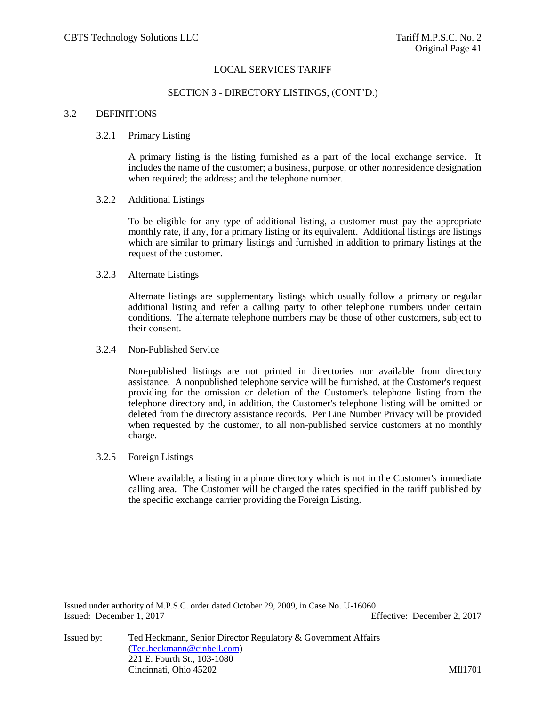## SECTION 3 - DIRECTORY LISTINGS, (CONT'D.)

## 3.2 DEFINITIONS

### 3.2.1 Primary Listing

A primary listing is the listing furnished as a part of the local exchange service. It includes the name of the customer; a business, purpose, or other nonresidence designation when required; the address; and the telephone number.

#### 3.2.2 Additional Listings

To be eligible for any type of additional listing, a customer must pay the appropriate monthly rate, if any, for a primary listing or its equivalent. Additional listings are listings which are similar to primary listings and furnished in addition to primary listings at the request of the customer.

# 3.2.3 Alternate Listings

Alternate listings are supplementary listings which usually follow a primary or regular additional listing and refer a calling party to other telephone numbers under certain conditions. The alternate telephone numbers may be those of other customers, subject to their consent.

### 3.2.4 Non-Published Service

Non-published listings are not printed in directories nor available from directory assistance. A nonpublished telephone service will be furnished, at the Customer's request providing for the omission or deletion of the Customer's telephone listing from the telephone directory and, in addition, the Customer's telephone listing will be omitted or deleted from the directory assistance records. Per Line Number Privacy will be provided when requested by the customer, to all non-published service customers at no monthly charge.

### 3.2.5 Foreign Listings

Where available, a listing in a phone directory which is not in the Customer's immediate calling area. The Customer will be charged the rates specified in the tariff published by the specific exchange carrier providing the Foreign Listing.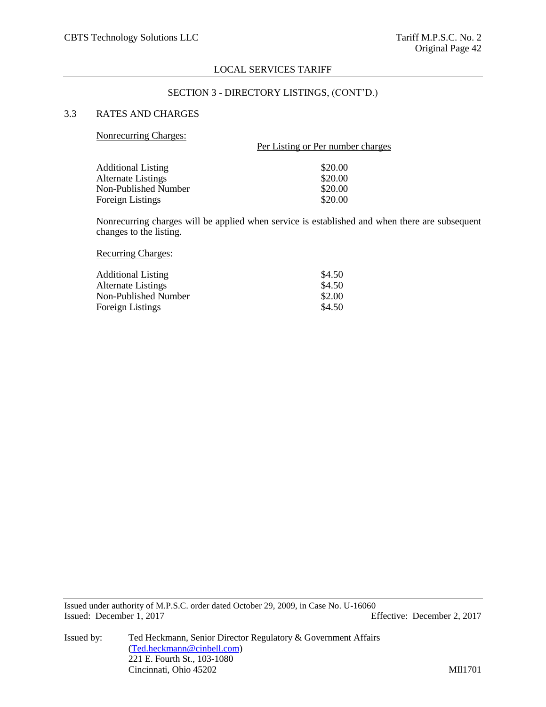### SECTION 3 - DIRECTORY LISTINGS, (CONT'D.)

# 3.3 RATES AND CHARGES

### Nonrecurring Charges:

| TOMECULLING CHAPS.        | Per Listing or Per number charges |  |  |
|---------------------------|-----------------------------------|--|--|
| <b>Additional Listing</b> | \$20.00                           |  |  |
| <b>Alternate Listings</b> | \$20.00                           |  |  |
| Non-Published Number      | \$20.00                           |  |  |
| Foreign Listings          | \$20.00                           |  |  |

Nonrecurring charges will be applied when service is established and when there are subsequent changes to the listing.

Recurring Charges:

| <b>Additional Listing</b> | \$4.50 |
|---------------------------|--------|
| Alternate Listings        | \$4.50 |
| Non-Published Number      | \$2.00 |
| <b>Foreign Listings</b>   | \$4.50 |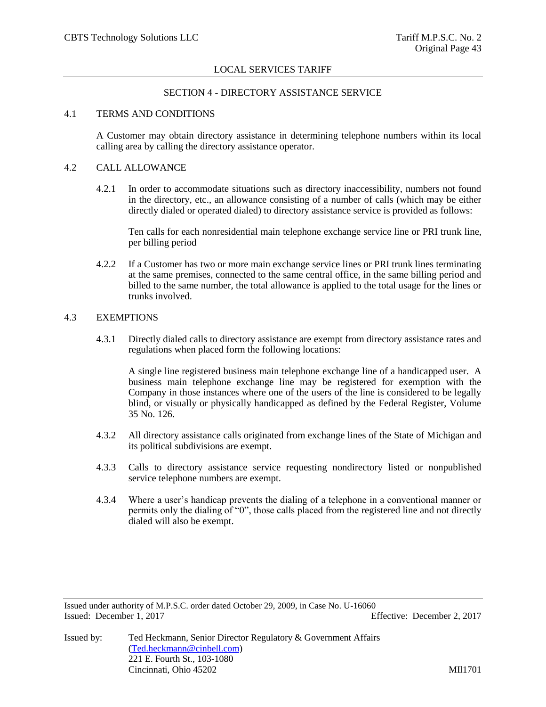### SECTION 4 - DIRECTORY ASSISTANCE SERVICE

## 4.1 TERMS AND CONDITIONS

A Customer may obtain directory assistance in determining telephone numbers within its local calling area by calling the directory assistance operator.

### 4.2 CALL ALLOWANCE

4.2.1 In order to accommodate situations such as directory inaccessibility, numbers not found in the directory, etc., an allowance consisting of a number of calls (which may be either directly dialed or operated dialed) to directory assistance service is provided as follows:

Ten calls for each nonresidential main telephone exchange service line or PRI trunk line, per billing period

4.2.2 If a Customer has two or more main exchange service lines or PRI trunk lines terminating at the same premises, connected to the same central office, in the same billing period and billed to the same number, the total allowance is applied to the total usage for the lines or trunks involved.

### 4.3 EXEMPTIONS

4.3.1 Directly dialed calls to directory assistance are exempt from directory assistance rates and regulations when placed form the following locations:

A single line registered business main telephone exchange line of a handicapped user. A business main telephone exchange line may be registered for exemption with the Company in those instances where one of the users of the line is considered to be legally blind, or visually or physically handicapped as defined by the Federal Register, Volume 35 No. 126.

- 4.3.2 All directory assistance calls originated from exchange lines of the State of Michigan and its political subdivisions are exempt.
- 4.3.3 Calls to directory assistance service requesting nondirectory listed or nonpublished service telephone numbers are exempt.
- 4.3.4 Where a user's handicap prevents the dialing of a telephone in a conventional manner or permits only the dialing of "0", those calls placed from the registered line and not directly dialed will also be exempt.

Issued under authority of M.P.S.C. order dated October 29, 2009, in Case No. U-16060 Issued: December 1, 2017 Effective: December 2, 2017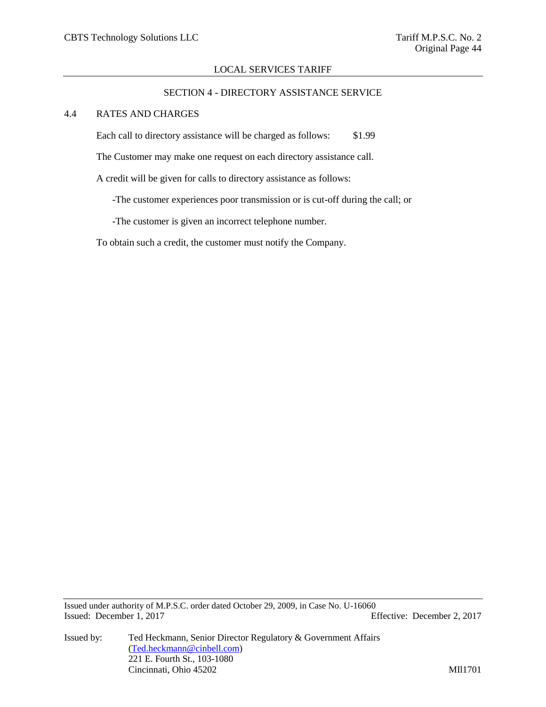### SECTION 4 - DIRECTORY ASSISTANCE SERVICE

# 4.4 RATES AND CHARGES

Each call to directory assistance will be charged as follows: \$1.99

The Customer may make one request on each directory assistance call.

A credit will be given for calls to directory assistance as follows:

-The customer experiences poor transmission or is cut-off during the call; or

-The customer is given an incorrect telephone number.

To obtain such a credit, the customer must notify the Company.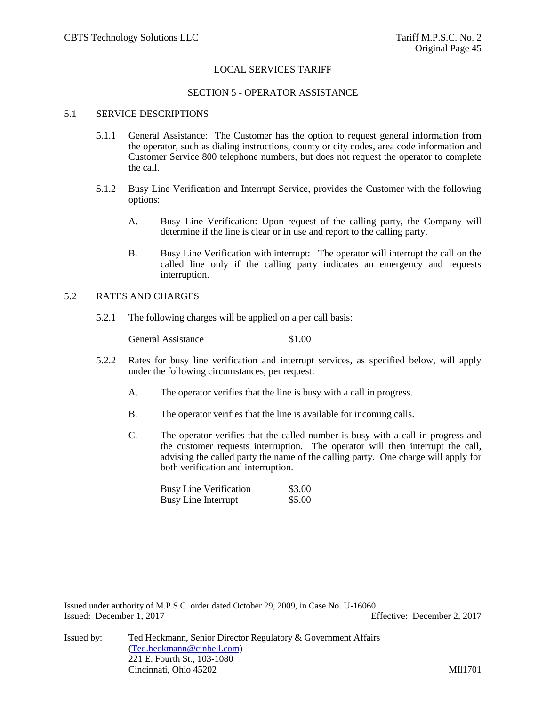# SECTION 5 - OPERATOR ASSISTANCE

# 5.1 SERVICE DESCRIPTIONS

- 5.1.1 General Assistance: The Customer has the option to request general information from the operator, such as dialing instructions, county or city codes, area code information and Customer Service 800 telephone numbers, but does not request the operator to complete the call.
- 5.1.2 Busy Line Verification and Interrupt Service, provides the Customer with the following options:
	- A. Busy Line Verification: Upon request of the calling party, the Company will determine if the line is clear or in use and report to the calling party.
	- B. Busy Line Verification with interrupt: The operator will interrupt the call on the called line only if the calling party indicates an emergency and requests interruption.

# 5.2 RATES AND CHARGES

5.2.1 The following charges will be applied on a per call basis:

General Assistance \$1.00

- 5.2.2 Rates for busy line verification and interrupt services, as specified below, will apply under the following circumstances, per request:
	- A. The operator verifies that the line is busy with a call in progress.
	- B. The operator verifies that the line is available for incoming calls.
	- C. The operator verifies that the called number is busy with a call in progress and the customer requests interruption. The operator will then interrupt the call, advising the called party the name of the calling party. One charge will apply for both verification and interruption.

| <b>Busy Line Verification</b> | \$3.00 |
|-------------------------------|--------|
| <b>Busy Line Interrupt</b>    | \$5.00 |

Issued under authority of M.P.S.C. order dated October 29, 2009, in Case No. U-16060 Issued: December 1, 2017 Effective: December 2, 2017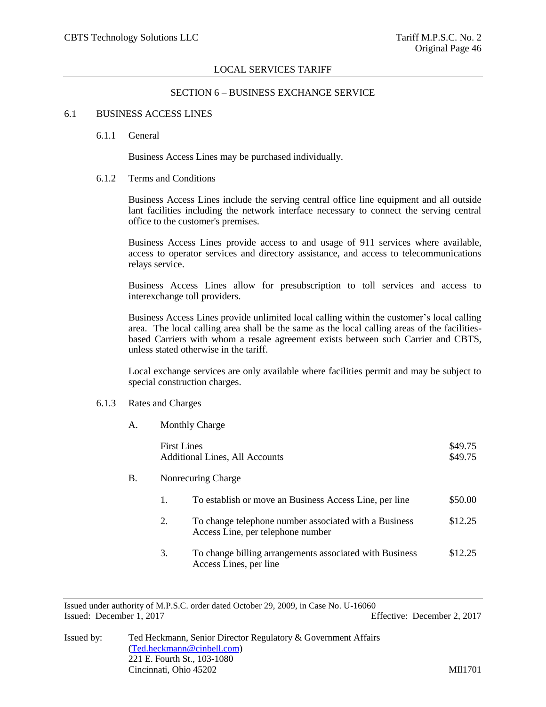### SECTION 6 – BUSINESS EXCHANGE SERVICE

### 6.1 BUSINESS ACCESS LINES

#### 6.1.1 General

Business Access Lines may be purchased individually.

# 6.1.2 Terms and Conditions

Business Access Lines include the serving central office line equipment and all outside lant facilities including the network interface necessary to connect the serving central office to the customer's premises.

Business Access Lines provide access to and usage of 911 services where available, access to operator services and directory assistance, and access to telecommunications relays service.

Business Access Lines allow for presubscription to toll services and access to interexchange toll providers.

Business Access Lines provide unlimited local calling within the customer's local calling area. The local calling area shall be the same as the local calling areas of the facilitiesbased Carriers with whom a resale agreement exists between such Carrier and CBTS, unless stated otherwise in the tariff.

Local exchange services are only available where facilities permit and may be subject to special construction charges.

# 6.1.3 Rates and Charges

A. Monthly Charge

|    | <b>First Lines</b> | <b>Additional Lines, All Accounts</b>                                                      | \$49.75<br>\$49.75 |
|----|--------------------|--------------------------------------------------------------------------------------------|--------------------|
| B. |                    | Nonrecuring Charge                                                                         |                    |
|    | 1.                 | To establish or move an Business Access Line, per line                                     | \$50.00            |
|    | 2.                 | To change telephone number associated with a Business<br>Access Line, per telephone number | \$12.25            |
|    | 3.                 | To change billing arrangements associated with Business<br>Access Lines, per line          | \$12.25            |

Issued under authority of M.P.S.C. order dated October 29, 2009, in Case No. U-16060 Issued: December 1, 2017 Effective: December 2, 2017

| Issued by: | Ted Heckmann, Senior Director Regulatory & Government Affairs |        |
|------------|---------------------------------------------------------------|--------|
|            | (Ted. heckmann@cinbell.com)                                   |        |
|            | 221 E. Fourth St., 103-1080                                   |        |
|            | Cincinnati, Ohio 45202                                        | MI1701 |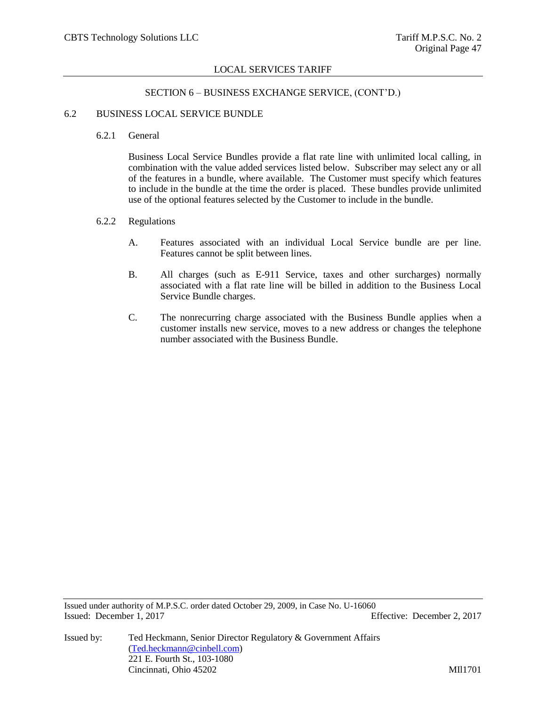# SECTION 6 – BUSINESS EXCHANGE SERVICE, (CONT'D.)

#### 6.2 BUSINESS LOCAL SERVICE BUNDLE

6.2.1 General

Business Local Service Bundles provide a flat rate line with unlimited local calling, in combination with the value added services listed below. Subscriber may select any or all of the features in a bundle, where available. The Customer must specify which features to include in the bundle at the time the order is placed. These bundles provide unlimited use of the optional features selected by the Customer to include in the bundle.

## 6.2.2 Regulations

- A. Features associated with an individual Local Service bundle are per line. Features cannot be split between lines.
- B. All charges (such as E-911 Service, taxes and other surcharges) normally associated with a flat rate line will be billed in addition to the Business Local Service Bundle charges.
- C. The nonrecurring charge associated with the Business Bundle applies when a customer installs new service, moves to a new address or changes the telephone number associated with the Business Bundle.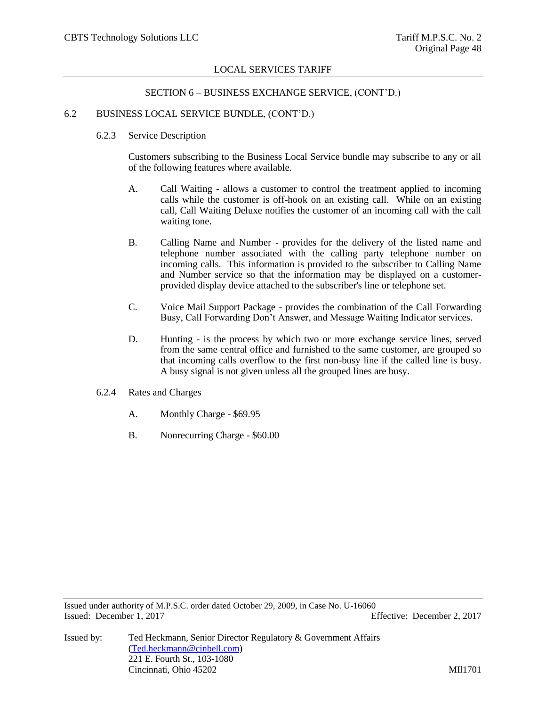### SECTION 6 – BUSINESS EXCHANGE SERVICE, (CONT'D.)

### 6.2 BUSINESS LOCAL SERVICE BUNDLE, (CONT'D.)

6.2.3 Service Description

Customers subscribing to the Business Local Service bundle may subscribe to any or all of the following features where available.

- A. Call Waiting allows a customer to control the treatment applied to incoming calls while the customer is off-hook on an existing call. While on an existing call, Call Waiting Deluxe notifies the customer of an incoming call with the call waiting tone.
- B. Calling Name and Number provides for the delivery of the listed name and telephone number associated with the calling party telephone number on incoming calls. This information is provided to the subscriber to Calling Name and Number service so that the information may be displayed on a customerprovided display device attached to the subscriber's line or telephone set.
- C. Voice Mail Support Package provides the combination of the Call Forwarding Busy, Call Forwarding Don't Answer, and Message Waiting Indicator services.
- D. Hunting is the process by which two or more exchange service lines, served from the same central office and furnished to the same customer, are grouped so that incoming calls overflow to the first non-busy line if the called line is busy. A busy signal is not given unless all the grouped lines are busy.
- 6.2.4 Rates and Charges
	- A. Monthly Charge \$69.95
	- B. Nonrecurring Charge \$60.00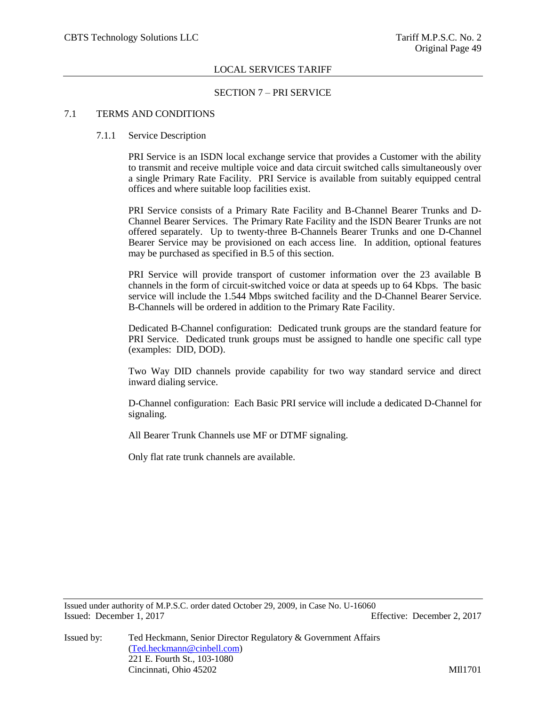### SECTION 7 – PRI SERVICE

## 7.1 TERMS AND CONDITIONS

### 7.1.1 Service Description

PRI Service is an ISDN local exchange service that provides a Customer with the ability to transmit and receive multiple voice and data circuit switched calls simultaneously over a single Primary Rate Facility. PRI Service is available from suitably equipped central offices and where suitable loop facilities exist.

PRI Service consists of a Primary Rate Facility and B-Channel Bearer Trunks and D-Channel Bearer Services. The Primary Rate Facility and the ISDN Bearer Trunks are not offered separately. Up to twenty-three B-Channels Bearer Trunks and one D-Channel Bearer Service may be provisioned on each access line. In addition, optional features may be purchased as specified in B.5 of this section.

PRI Service will provide transport of customer information over the 23 available B channels in the form of circuit-switched voice or data at speeds up to 64 Kbps. The basic service will include the 1.544 Mbps switched facility and the D-Channel Bearer Service. B-Channels will be ordered in addition to the Primary Rate Facility.

Dedicated B-Channel configuration: Dedicated trunk groups are the standard feature for PRI Service. Dedicated trunk groups must be assigned to handle one specific call type (examples: DID, DOD).

Two Way DID channels provide capability for two way standard service and direct inward dialing service.

D-Channel configuration: Each Basic PRI service will include a dedicated D-Channel for signaling.

All Bearer Trunk Channels use MF or DTMF signaling.

Only flat rate trunk channels are available.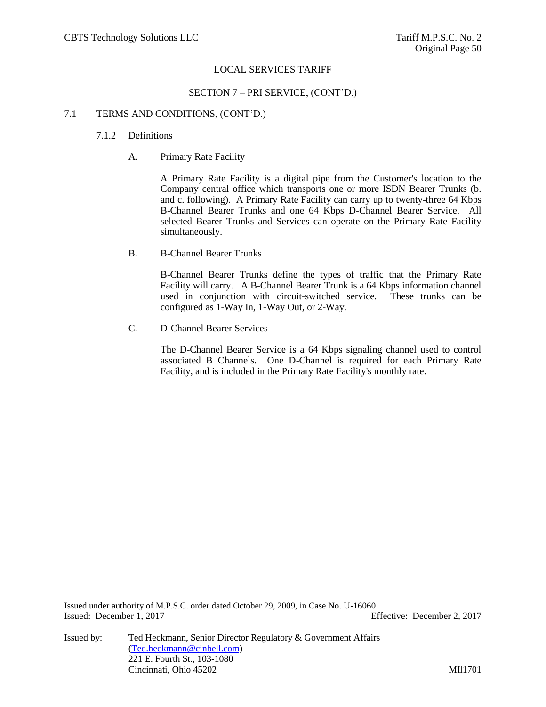SECTION 7 – PRI SERVICE, (CONT'D.)

#### 7.1 TERMS AND CONDITIONS, (CONT'D.)

### 7.1.2 Definitions

A. Primary Rate Facility

A Primary Rate Facility is a digital pipe from the Customer's location to the Company central office which transports one or more ISDN Bearer Trunks (b. and c. following). A Primary Rate Facility can carry up to twenty-three 64 Kbps B-Channel Bearer Trunks and one 64 Kbps D-Channel Bearer Service. All selected Bearer Trunks and Services can operate on the Primary Rate Facility simultaneously.

B. B-Channel Bearer Trunks

B-Channel Bearer Trunks define the types of traffic that the Primary Rate Facility will carry. A B-Channel Bearer Trunk is a 64 Kbps information channel used in conjunction with circuit-switched service. These trunks can be configured as 1-Way In, 1-Way Out, or 2-Way.

C. D-Channel Bearer Services

The D-Channel Bearer Service is a 64 Kbps signaling channel used to control associated B Channels. One D-Channel is required for each Primary Rate Facility, and is included in the Primary Rate Facility's monthly rate.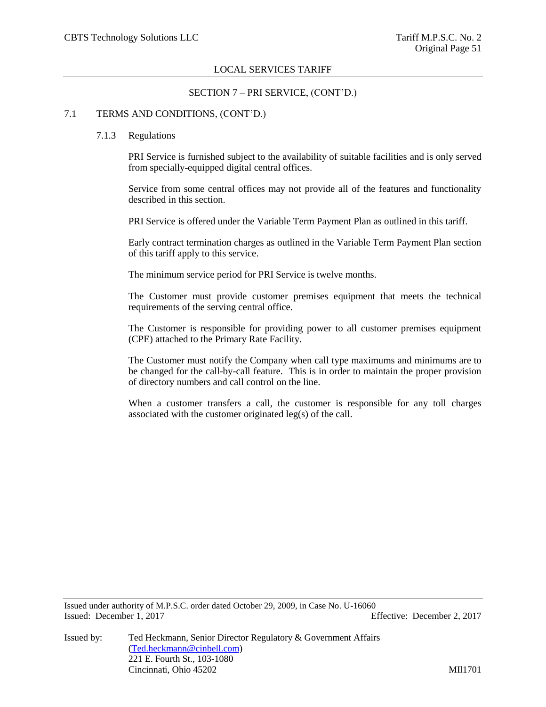## SECTION 7 – PRI SERVICE, (CONT'D.)

### 7.1 TERMS AND CONDITIONS, (CONT'D.)

### 7.1.3 Regulations

PRI Service is furnished subject to the availability of suitable facilities and is only served from specially-equipped digital central offices.

Service from some central offices may not provide all of the features and functionality described in this section.

PRI Service is offered under the Variable Term Payment Plan as outlined in this tariff.

Early contract termination charges as outlined in the Variable Term Payment Plan section of this tariff apply to this service.

The minimum service period for PRI Service is twelve months.

The Customer must provide customer premises equipment that meets the technical requirements of the serving central office.

The Customer is responsible for providing power to all customer premises equipment (CPE) attached to the Primary Rate Facility.

The Customer must notify the Company when call type maximums and minimums are to be changed for the call-by-call feature. This is in order to maintain the proper provision of directory numbers and call control on the line.

When a customer transfers a call, the customer is responsible for any toll charges associated with the customer originated leg(s) of the call.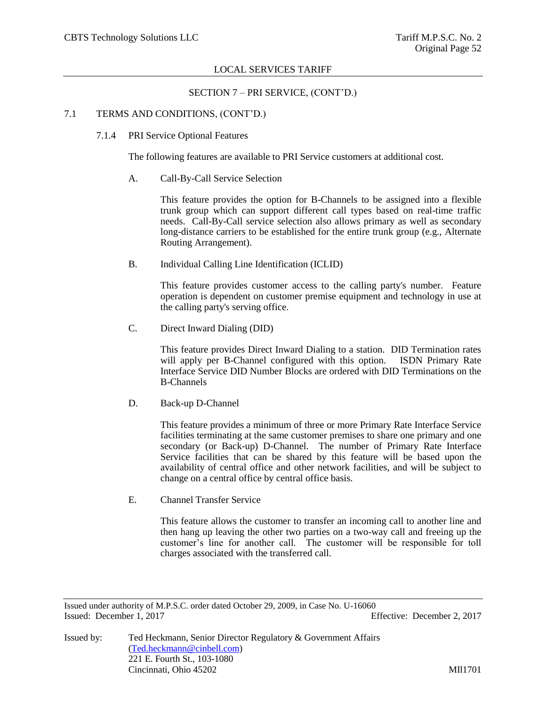## SECTION 7 – PRI SERVICE, (CONT'D.)

### 7.1 TERMS AND CONDITIONS, (CONT'D.)

7.1.4 PRI Service Optional Features

The following features are available to PRI Service customers at additional cost.

A. Call-By-Call Service Selection

This feature provides the option for B-Channels to be assigned into a flexible trunk group which can support different call types based on real-time traffic needs. Call-By-Call service selection also allows primary as well as secondary long-distance carriers to be established for the entire trunk group (e.g., Alternate Routing Arrangement).

B. Individual Calling Line Identification (ICLID)

This feature provides customer access to the calling party's number. Feature operation is dependent on customer premise equipment and technology in use at the calling party's serving office.

C. Direct Inward Dialing (DID)

This feature provides Direct Inward Dialing to a station. DID Termination rates will apply per B-Channel configured with this option. ISDN Primary Rate Interface Service DID Number Blocks are ordered with DID Terminations on the B-Channels

D. Back-up D-Channel

This feature provides a minimum of three or more Primary Rate Interface Service facilities terminating at the same customer premises to share one primary and one secondary (or Back-up) D-Channel. The number of Primary Rate Interface Service facilities that can be shared by this feature will be based upon the availability of central office and other network facilities, and will be subject to change on a central office by central office basis.

E. Channel Transfer Service

This feature allows the customer to transfer an incoming call to another line and then hang up leaving the other two parties on a two-way call and freeing up the customer's line for another call. The customer will be responsible for toll charges associated with the transferred call.

Issued under authority of M.P.S.C. order dated October 29, 2009, in Case No. U-16060 Issued: December 1, 2017 Effective: December 2, 2017

Issued by: Ted Heckmann, Senior Director Regulatory & Government Affairs [\(Ted.heckmann@cinbell.com\)](mailto:Ted.heckmann@cinbell.com) 221 E. Fourth St., 103-1080 Cincinnati, Ohio 45202 MIl1701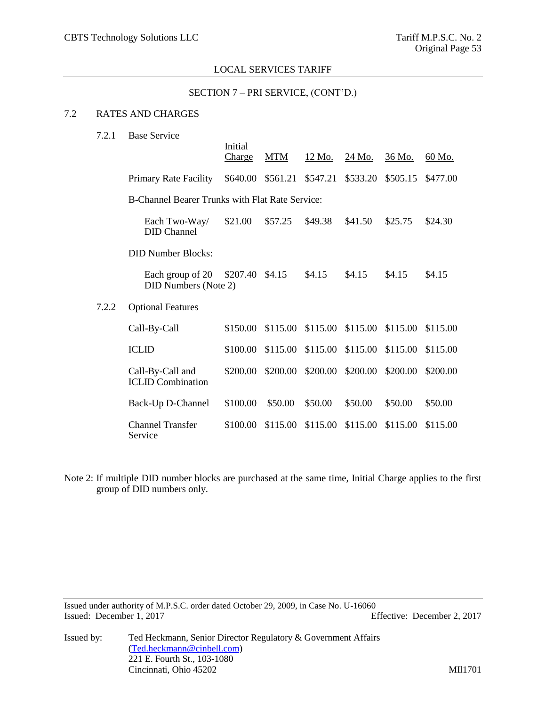#### SECTION 7 – PRI SERVICE, (CONT'D.)

# 7.2 RATES AND CHARGES

| 7.2.1 | <b>Base Service</b>                                    |                   |          |               |                            |          |          |
|-------|--------------------------------------------------------|-------------------|----------|---------------|----------------------------|----------|----------|
|       |                                                        | Initial<br>Charge | MTM      | <u>12 Mo.</u> | <u>24 Mo.</u>              | 36 Mo.   | 60 Mo.   |
|       | Primary Rate Facility                                  | \$640.00          | \$561.21 | \$547.21      | \$533.20                   | \$505.15 | \$477.00 |
|       | <b>B-Channel Bearer Trunks with Flat Rate Service:</b> |                   |          |               |                            |          |          |
|       | Each Two-Way/<br><b>DID</b> Channel                    | \$21.00           | \$57.25  | \$49.38       | \$41.50                    | \$25.75  | \$24.30  |
|       | <b>DID Number Blocks:</b>                              |                   |          |               |                            |          |          |
|       | Each group of 20<br><b>DID Numbers (Note 2)</b>        | \$207.40          | \$4.15   | \$4.15        | \$4.15                     | \$4.15   | \$4.15   |
| 7.2.2 | <b>Optional Features</b>                               |                   |          |               |                            |          |          |
|       | Call-By-Call                                           | \$150.00          | \$115.00 |               | \$115.00 \$115.00 \$115.00 |          | \$115.00 |
|       | <b>ICLID</b>                                           | \$100.00          | \$115.00 | \$115.00      | \$115.00                   | \$115.00 | \$115.00 |
|       | Call-By-Call and<br><b>ICLID</b> Combination           | \$200.00          | \$200.00 | \$200.00      | \$200.00                   | \$200.00 | \$200.00 |
|       | Back-Up D-Channel                                      | \$100.00          | \$50.00  | \$50.00       | \$50.00                    | \$50.00  | \$50.00  |
|       | Channel Transfer<br>Service                            | \$100.00          | \$115.00 | \$115.00      | \$115.00                   | \$115.00 | \$115.00 |

Note 2: If multiple DID number blocks are purchased at the same time, Initial Charge applies to the first group of DID numbers only.

Issued under authority of M.P.S.C. order dated October 29, 2009, in Case No. U-16060 Issued: December 1, 2017 Effective: December 2, 2017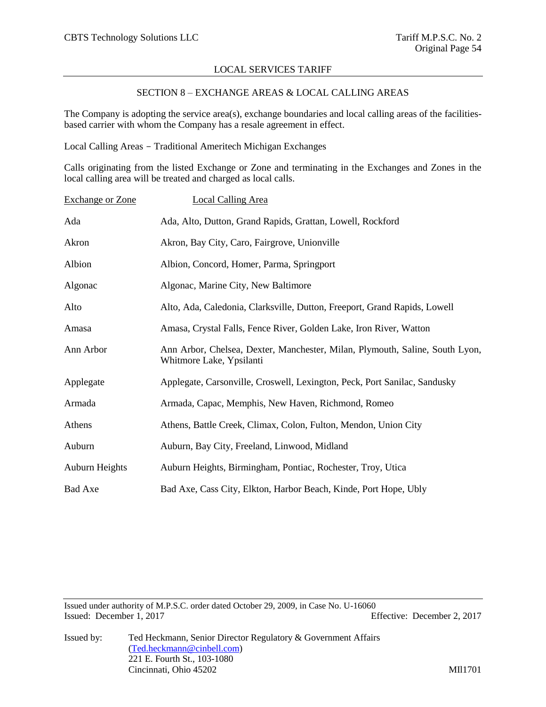## SECTION 8 – EXCHANGE AREAS & LOCAL CALLING AREAS

The Company is adopting the service area(s), exchange boundaries and local calling areas of the facilitiesbased carrier with whom the Company has a resale agreement in effect.

Local Calling Areas - Traditional Ameritech Michigan Exchanges

Calls originating from the listed Exchange or Zone and terminating in the Exchanges and Zones in the local calling area will be treated and charged as local calls.

| <b>Exchange or Zone</b> | <b>Local Calling Area</b>                                                                                |
|-------------------------|----------------------------------------------------------------------------------------------------------|
| Ada                     | Ada, Alto, Dutton, Grand Rapids, Grattan, Lowell, Rockford                                               |
| Akron                   | Akron, Bay City, Caro, Fairgrove, Unionville                                                             |
| Albion                  | Albion, Concord, Homer, Parma, Springport                                                                |
| Algonac                 | Algonac, Marine City, New Baltimore                                                                      |
| Alto                    | Alto, Ada, Caledonia, Clarksville, Dutton, Freeport, Grand Rapids, Lowell                                |
| Amasa                   | Amasa, Crystal Falls, Fence River, Golden Lake, Iron River, Watton                                       |
| Ann Arbor               | Ann Arbor, Chelsea, Dexter, Manchester, Milan, Plymouth, Saline, South Lyon,<br>Whitmore Lake, Ypsilanti |
| Applegate               | Applegate, Carsonville, Croswell, Lexington, Peck, Port Sanilac, Sandusky                                |
| Armada                  | Armada, Capac, Memphis, New Haven, Richmond, Romeo                                                       |
| Athens                  | Athens, Battle Creek, Climax, Colon, Fulton, Mendon, Union City                                          |
| Auburn                  | Auburn, Bay City, Freeland, Linwood, Midland                                                             |
| Auburn Heights          | Auburn Heights, Birmingham, Pontiac, Rochester, Troy, Utica                                              |
| <b>Bad Axe</b>          | Bad Axe, Cass City, Elkton, Harbor Beach, Kinde, Port Hope, Ubly                                         |

Issued under authority of M.P.S.C. order dated October 29, 2009, in Case No. U-16060 Issued: December 1, 2017 Effective: December 2, 2017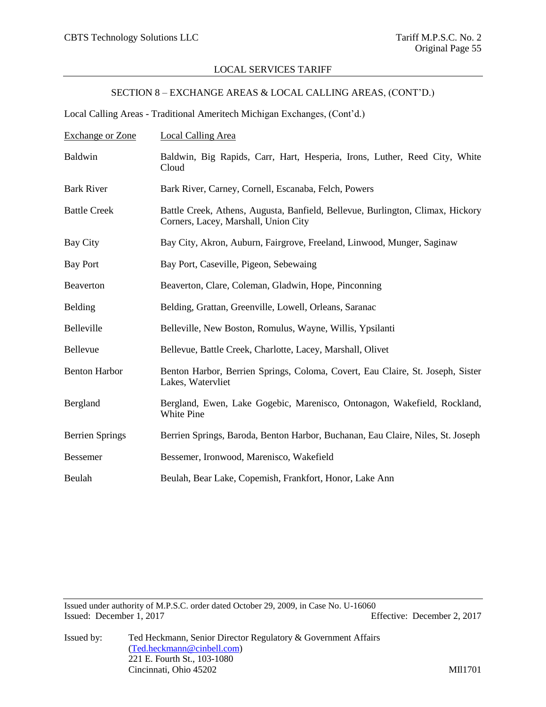# SECTION 8 – EXCHANGE AREAS & LOCAL CALLING AREAS, (CONT'D.)

Local Calling Areas - Traditional Ameritech Michigan Exchanges, (Cont'd.)

| <b>Exchange or Zone</b> | <b>Local Calling Area</b>                                                                                              |
|-------------------------|------------------------------------------------------------------------------------------------------------------------|
| Baldwin                 | Baldwin, Big Rapids, Carr, Hart, Hesperia, Irons, Luther, Reed City, White<br>Cloud                                    |
| <b>Bark River</b>       | Bark River, Carney, Cornell, Escanaba, Felch, Powers                                                                   |
| <b>Battle Creek</b>     | Battle Creek, Athens, Augusta, Banfield, Bellevue, Burlington, Climax, Hickory<br>Corners, Lacey, Marshall, Union City |
| Bay City                | Bay City, Akron, Auburn, Fairgrove, Freeland, Linwood, Munger, Saginaw                                                 |
| <b>Bay Port</b>         | Bay Port, Caseville, Pigeon, Sebewaing                                                                                 |
| Beaverton               | Beaverton, Clare, Coleman, Gladwin, Hope, Pinconning                                                                   |
| Belding                 | Belding, Grattan, Greenville, Lowell, Orleans, Saranac                                                                 |
| Belleville              | Belleville, New Boston, Romulus, Wayne, Willis, Ypsilanti                                                              |
| Bellevue                | Bellevue, Battle Creek, Charlotte, Lacey, Marshall, Olivet                                                             |
| <b>Benton Harbor</b>    | Benton Harbor, Berrien Springs, Coloma, Covert, Eau Claire, St. Joseph, Sister<br>Lakes, Watervliet                    |
| Bergland                | Bergland, Ewen, Lake Gogebic, Marenisco, Ontonagon, Wakefield, Rockland,<br>White Pine                                 |
| <b>Berrien Springs</b>  | Berrien Springs, Baroda, Benton Harbor, Buchanan, Eau Claire, Niles, St. Joseph                                        |
| <b>Bessemer</b>         | Bessemer, Ironwood, Marenisco, Wakefield                                                                               |
| Beulah                  | Beulah, Bear Lake, Copemish, Frankfort, Honor, Lake Ann                                                                |
|                         |                                                                                                                        |

Issued under authority of M.P.S.C. order dated October 29, 2009, in Case No. U-16060 Issued: December 1, 2017 Effective: December 2, 2017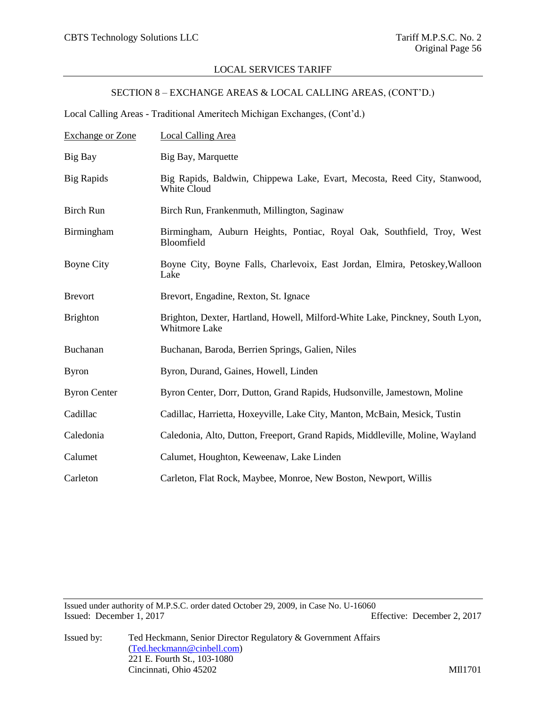# SECTION 8 – EXCHANGE AREAS & LOCAL CALLING AREAS, (CONT'D.)

Local Calling Areas - Traditional Ameritech Michigan Exchanges, (Cont'd.)

| <b>Exchange or Zone</b> | Local Calling Area                                                                                    |
|-------------------------|-------------------------------------------------------------------------------------------------------|
| Big Bay                 | Big Bay, Marquette                                                                                    |
| <b>Big Rapids</b>       | Big Rapids, Baldwin, Chippewa Lake, Evart, Mecosta, Reed City, Stanwood,<br>White Cloud               |
| <b>Birch Run</b>        | Birch Run, Frankenmuth, Millington, Saginaw                                                           |
| Birmingham              | Birmingham, Auburn Heights, Pontiac, Royal Oak, Southfield, Troy, West<br>Bloomfield                  |
| <b>Boyne City</b>       | Boyne City, Boyne Falls, Charlevoix, East Jordan, Elmira, Petoskey, Walloon<br>Lake                   |
| <b>Brevort</b>          | Brevort, Engadine, Rexton, St. Ignace                                                                 |
| <b>Brighton</b>         | Brighton, Dexter, Hartland, Howell, Milford-White Lake, Pinckney, South Lyon,<br><b>Whitmore Lake</b> |
| Buchanan                | Buchanan, Baroda, Berrien Springs, Galien, Niles                                                      |
| <b>Byron</b>            | Byron, Durand, Gaines, Howell, Linden                                                                 |
| <b>Byron Center</b>     | Byron Center, Dorr, Dutton, Grand Rapids, Hudsonville, Jamestown, Moline                              |
| Cadillac                | Cadillac, Harrietta, Hoxeyville, Lake City, Manton, McBain, Mesick, Tustin                            |
| Caledonia               | Caledonia, Alto, Dutton, Freeport, Grand Rapids, Middleville, Moline, Wayland                         |
| Calumet                 | Calumet, Houghton, Keweenaw, Lake Linden                                                              |
| Carleton                | Carleton, Flat Rock, Maybee, Monroe, New Boston, Newport, Willis                                      |

Issued under authority of M.P.S.C. order dated October 29, 2009, in Case No. U-16060 Issued: December 1, 2017 Effective: December 2, 2017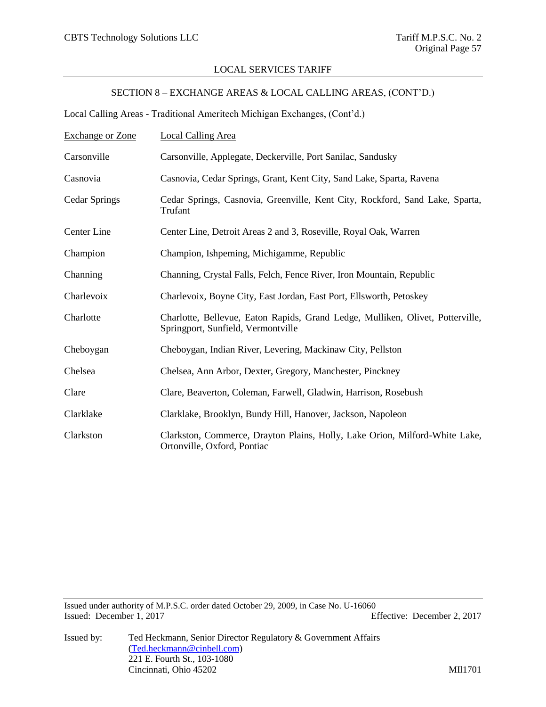# SECTION 8 – EXCHANGE AREAS & LOCAL CALLING AREAS, (CONT'D.)

Local Calling Areas - Traditional Ameritech Michigan Exchanges, (Cont'd.)

| <b>Exchange or Zone</b> | <b>Local Calling Area</b>                                                                                            |
|-------------------------|----------------------------------------------------------------------------------------------------------------------|
| Carsonville             | Carsonville, Applegate, Deckerville, Port Sanilac, Sandusky                                                          |
| Casnovia                | Casnovia, Cedar Springs, Grant, Kent City, Sand Lake, Sparta, Ravena                                                 |
| <b>Cedar Springs</b>    | Cedar Springs, Casnovia, Greenville, Kent City, Rockford, Sand Lake, Sparta,<br>Trufant                              |
| Center Line             | Center Line, Detroit Areas 2 and 3, Roseville, Royal Oak, Warren                                                     |
| Champion                | Champion, Ishpeming, Michigamme, Republic                                                                            |
| Channing                | Channing, Crystal Falls, Felch, Fence River, Iron Mountain, Republic                                                 |
| Charlevoix              | Charlevoix, Boyne City, East Jordan, East Port, Ellsworth, Petoskey                                                  |
| Charlotte               | Charlotte, Bellevue, Eaton Rapids, Grand Ledge, Mulliken, Olivet, Potterville,<br>Springport, Sunfield, Vermontville |
| Cheboygan               | Cheboygan, Indian River, Levering, Mackinaw City, Pellston                                                           |
| Chelsea                 | Chelsea, Ann Arbor, Dexter, Gregory, Manchester, Pinckney                                                            |
| Clare                   | Clare, Beaverton, Coleman, Farwell, Gladwin, Harrison, Rosebush                                                      |
| Clarklake               | Clarklake, Brooklyn, Bundy Hill, Hanover, Jackson, Napoleon                                                          |
| Clarkston               | Clarkston, Commerce, Drayton Plains, Holly, Lake Orion, Milford-White Lake,<br>Ortonville, Oxford, Pontiac           |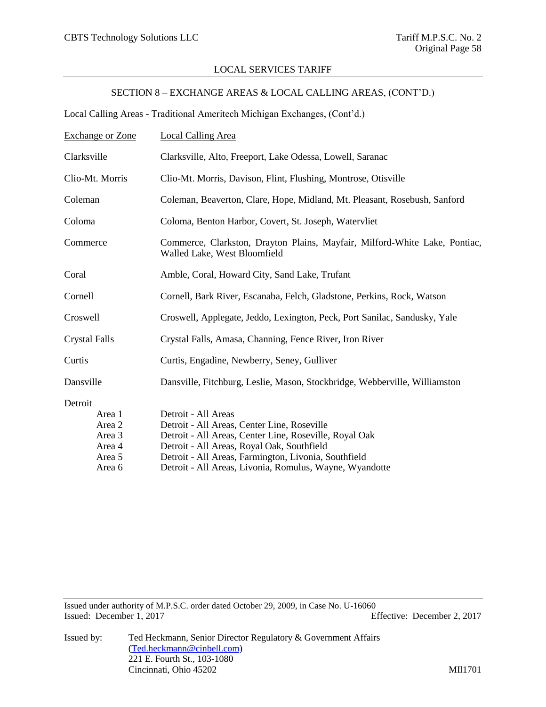# SECTION 8 – EXCHANGE AREAS & LOCAL CALLING AREAS, (CONT'D.)

Local Calling Areas - Traditional Ameritech Michigan Exchanges, (Cont'd.)

| <b>Exchange or Zone</b>                                             | Local Calling Area                                                                                                                                                                                                                                                                            |  |
|---------------------------------------------------------------------|-----------------------------------------------------------------------------------------------------------------------------------------------------------------------------------------------------------------------------------------------------------------------------------------------|--|
| Clarksville                                                         | Clarksville, Alto, Freeport, Lake Odessa, Lowell, Saranac                                                                                                                                                                                                                                     |  |
| Clio-Mt. Morris                                                     | Clio-Mt. Morris, Davison, Flint, Flushing, Montrose, Otisville                                                                                                                                                                                                                                |  |
| Coleman                                                             | Coleman, Beaverton, Clare, Hope, Midland, Mt. Pleasant, Rosebush, Sanford                                                                                                                                                                                                                     |  |
| Coloma                                                              | Coloma, Benton Harbor, Covert, St. Joseph, Watervliet                                                                                                                                                                                                                                         |  |
| Commerce                                                            | Commerce, Clarkston, Drayton Plains, Mayfair, Milford-White Lake, Pontiac,<br>Walled Lake, West Bloomfield                                                                                                                                                                                    |  |
| Coral                                                               | Amble, Coral, Howard City, Sand Lake, Trufant                                                                                                                                                                                                                                                 |  |
| Cornell                                                             | Cornell, Bark River, Escanaba, Felch, Gladstone, Perkins, Rock, Watson                                                                                                                                                                                                                        |  |
| Croswell                                                            | Croswell, Applegate, Jeddo, Lexington, Peck, Port Sanilac, Sandusky, Yale                                                                                                                                                                                                                     |  |
| <b>Crystal Falls</b>                                                | Crystal Falls, Amasa, Channing, Fence River, Iron River                                                                                                                                                                                                                                       |  |
| Curtis                                                              | Curtis, Engadine, Newberry, Seney, Gulliver                                                                                                                                                                                                                                                   |  |
| Dansville                                                           | Dansville, Fitchburg, Leslie, Mason, Stockbridge, Webberville, Williamston                                                                                                                                                                                                                    |  |
| Detroit<br>Area 1<br>Area 2<br>Area 3<br>Area 4<br>Area 5<br>Area 6 | Detroit - All Areas<br>Detroit - All Areas, Center Line, Roseville<br>Detroit - All Areas, Center Line, Roseville, Royal Oak<br>Detroit - All Areas, Royal Oak, Southfield<br>Detroit - All Areas, Farmington, Livonia, Southfield<br>Detroit - All Areas, Livonia, Romulus, Wayne, Wyandotte |  |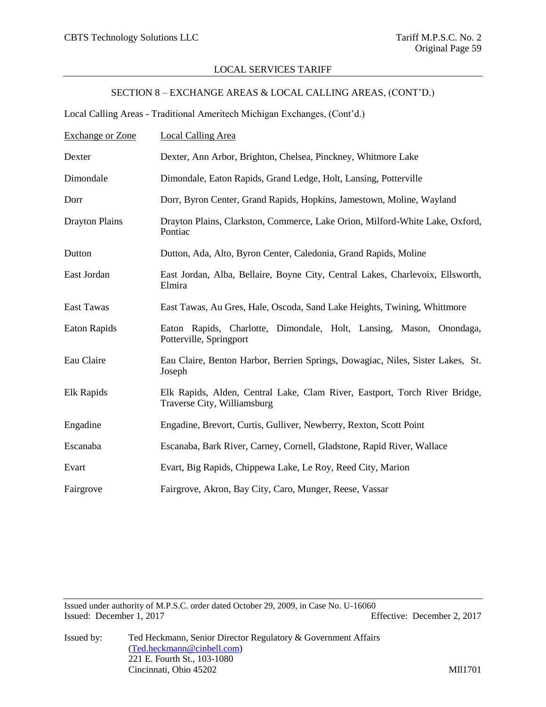# SECTION 8 – EXCHANGE AREAS & LOCAL CALLING AREAS, (CONT'D.)

Local Calling Areas - Traditional Ameritech Michigan Exchanges, (Cont'd.)

| <b>Exchange or Zone</b> | Local Calling Area                                                                                        |
|-------------------------|-----------------------------------------------------------------------------------------------------------|
| Dexter                  | Dexter, Ann Arbor, Brighton, Chelsea, Pinckney, Whitmore Lake                                             |
| Dimondale               | Dimondale, Eaton Rapids, Grand Ledge, Holt, Lansing, Potterville                                          |
| Dorr                    | Dorr, Byron Center, Grand Rapids, Hopkins, Jamestown, Moline, Wayland                                     |
| <b>Drayton Plains</b>   | Drayton Plains, Clarkston, Commerce, Lake Orion, Milford-White Lake, Oxford,<br>Pontiac                   |
| Dutton                  | Dutton, Ada, Alto, Byron Center, Caledonia, Grand Rapids, Moline                                          |
| East Jordan             | East Jordan, Alba, Bellaire, Boyne City, Central Lakes, Charlevoix, Ellsworth,<br>Elmira                  |
| <b>East Tawas</b>       | East Tawas, Au Gres, Hale, Oscoda, Sand Lake Heights, Twining, Whittmore                                  |
| <b>Eaton Rapids</b>     | Eaton Rapids, Charlotte, Dimondale, Holt, Lansing, Mason, Onondaga,<br>Potterville, Springport            |
| Eau Claire              | Eau Claire, Benton Harbor, Berrien Springs, Dowagiac, Niles, Sister Lakes, St.<br>Joseph                  |
| Elk Rapids              | Elk Rapids, Alden, Central Lake, Clam River, Eastport, Torch River Bridge,<br>Traverse City, Williamsburg |
| Engadine                | Engadine, Brevort, Curtis, Gulliver, Newberry, Rexton, Scott Point                                        |
| Escanaba                | Escanaba, Bark River, Carney, Cornell, Gladstone, Rapid River, Wallace                                    |
| Evart                   | Evart, Big Rapids, Chippewa Lake, Le Roy, Reed City, Marion                                               |
| Fairgrove               | Fairgrove, Akron, Bay City, Caro, Munger, Reese, Vassar                                                   |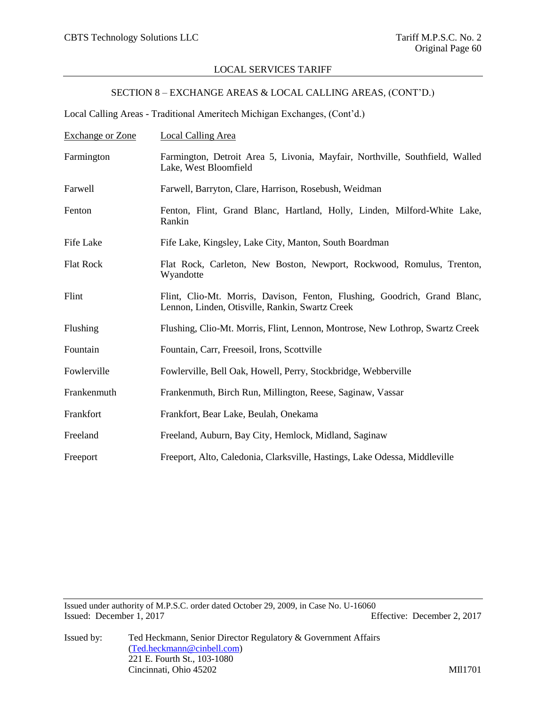# SECTION 8 – EXCHANGE AREAS & LOCAL CALLING AREAS, (CONT'D.)

Local Calling Areas - Traditional Ameritech Michigan Exchanges, (Cont'd.)

| <b>Exchange or Zone</b> | <b>Local Calling Area</b>                                                                                                    |
|-------------------------|------------------------------------------------------------------------------------------------------------------------------|
| Farmington              | Farmington, Detroit Area 5, Livonia, Mayfair, Northville, Southfield, Walled<br>Lake, West Bloomfield                        |
| Farwell                 | Farwell, Barryton, Clare, Harrison, Rosebush, Weidman                                                                        |
| Fenton                  | Fenton, Flint, Grand Blanc, Hartland, Holly, Linden, Milford-White Lake,<br>Rankin                                           |
| Fife Lake               | Fife Lake, Kingsley, Lake City, Manton, South Boardman                                                                       |
| <b>Flat Rock</b>        | Flat Rock, Carleton, New Boston, Newport, Rockwood, Romulus, Trenton,<br>Wyandotte                                           |
| Flint                   | Flint, Clio-Mt. Morris, Davison, Fenton, Flushing, Goodrich, Grand Blanc,<br>Lennon, Linden, Otisville, Rankin, Swartz Creek |
| Flushing                | Flushing, Clio-Mt. Morris, Flint, Lennon, Montrose, New Lothrop, Swartz Creek                                                |
| Fountain                | Fountain, Carr, Freesoil, Irons, Scottville                                                                                  |
| Fowlerville             | Fowlerville, Bell Oak, Howell, Perry, Stockbridge, Webberville                                                               |
| Frankenmuth             | Frankenmuth, Birch Run, Millington, Reese, Saginaw, Vassar                                                                   |
| Frankfort               | Frankfort, Bear Lake, Beulah, Onekama                                                                                        |
| Freeland                | Freeland, Auburn, Bay City, Hemlock, Midland, Saginaw                                                                        |
| Freeport                | Freeport, Alto, Caledonia, Clarksville, Hastings, Lake Odessa, Middleville                                                   |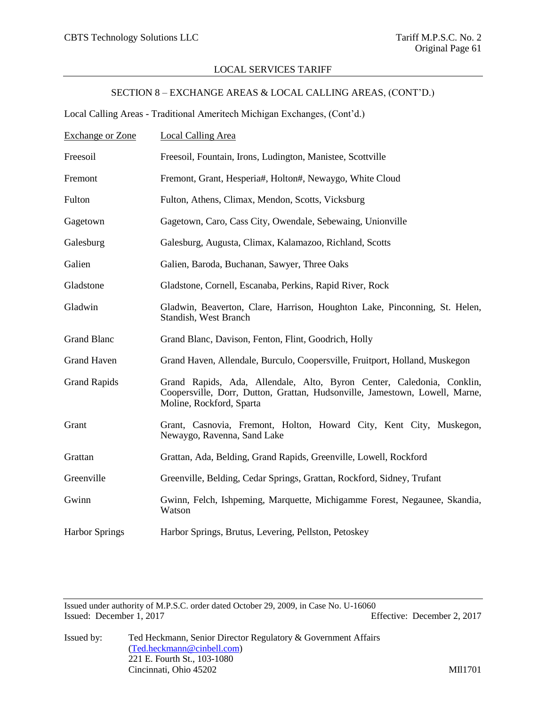# SECTION 8 – EXCHANGE AREAS & LOCAL CALLING AREAS, (CONT'D.)

Local Calling Areas - Traditional Ameritech Michigan Exchanges, (Cont'd.)

| <b>Exchange or Zone</b> | Local Calling Area                                                                                                                                                               |
|-------------------------|----------------------------------------------------------------------------------------------------------------------------------------------------------------------------------|
| Freesoil                | Freesoil, Fountain, Irons, Ludington, Manistee, Scottville                                                                                                                       |
| Fremont                 | Fremont, Grant, Hesperia#, Holton#, Newaygo, White Cloud                                                                                                                         |
| Fulton                  | Fulton, Athens, Climax, Mendon, Scotts, Vicksburg                                                                                                                                |
| Gagetown                | Gagetown, Caro, Cass City, Owendale, Sebewaing, Unionville                                                                                                                       |
| Galesburg               | Galesburg, Augusta, Climax, Kalamazoo, Richland, Scotts                                                                                                                          |
| Galien                  | Galien, Baroda, Buchanan, Sawyer, Three Oaks                                                                                                                                     |
| Gladstone               | Gladstone, Cornell, Escanaba, Perkins, Rapid River, Rock                                                                                                                         |
| Gladwin                 | Gladwin, Beaverton, Clare, Harrison, Houghton Lake, Pinconning, St. Helen,<br>Standish, West Branch                                                                              |
| <b>Grand Blanc</b>      | Grand Blanc, Davison, Fenton, Flint, Goodrich, Holly                                                                                                                             |
| <b>Grand Haven</b>      | Grand Haven, Allendale, Burculo, Coopersville, Fruitport, Holland, Muskegon                                                                                                      |
| <b>Grand Rapids</b>     | Grand Rapids, Ada, Allendale, Alto, Byron Center, Caledonia, Conklin,<br>Coopersville, Dorr, Dutton, Grattan, Hudsonville, Jamestown, Lowell, Marne,<br>Moline, Rockford, Sparta |
| Grant                   | Grant, Casnovia, Fremont, Holton, Howard City, Kent City, Muskegon,<br>Newaygo, Ravenna, Sand Lake                                                                               |
| Grattan                 | Grattan, Ada, Belding, Grand Rapids, Greenville, Lowell, Rockford                                                                                                                |
| Greenville              | Greenville, Belding, Cedar Springs, Grattan, Rockford, Sidney, Trufant                                                                                                           |
| Gwinn                   | Gwinn, Felch, Ishpeming, Marquette, Michigamme Forest, Negaunee, Skandia,<br>Watson                                                                                              |
| <b>Harbor Springs</b>   | Harbor Springs, Brutus, Levering, Pellston, Petoskey                                                                                                                             |

Issued under authority of M.P.S.C. order dated October 29, 2009, in Case No. U-16060 Issued: December 1, 2017 Effective: December 2, 2017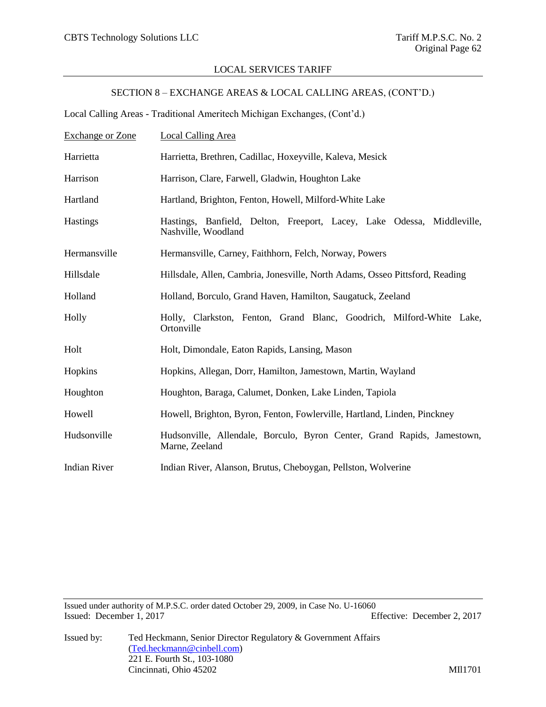# SECTION 8 – EXCHANGE AREAS & LOCAL CALLING AREAS, (CONT'D.)

Local Calling Areas - Traditional Ameritech Michigan Exchanges, (Cont'd.)

| <b>Exchange or Zone</b> | Local Calling Area                                                                            |
|-------------------------|-----------------------------------------------------------------------------------------------|
| Harrietta               | Harrietta, Brethren, Cadillac, Hoxeyville, Kaleva, Mesick                                     |
| Harrison                | Harrison, Clare, Farwell, Gladwin, Houghton Lake                                              |
| Hartland                | Hartland, Brighton, Fenton, Howell, Milford-White Lake                                        |
| <b>Hastings</b>         | Hastings, Banfield, Delton, Freeport, Lacey, Lake Odessa, Middleville,<br>Nashville, Woodland |
| Hermansville            | Hermansville, Carney, Faithhorn, Felch, Norway, Powers                                        |
| Hillsdale               | Hillsdale, Allen, Cambria, Jonesville, North Adams, Osseo Pittsford, Reading                  |
| Holland                 | Holland, Borculo, Grand Haven, Hamilton, Saugatuck, Zeeland                                   |
| Holly                   | Holly, Clarkston, Fenton, Grand Blanc, Goodrich, Milford-White Lake,<br>Ortonville            |
| Holt                    | Holt, Dimondale, Eaton Rapids, Lansing, Mason                                                 |
| Hopkins                 | Hopkins, Allegan, Dorr, Hamilton, Jamestown, Martin, Wayland                                  |
| Houghton                | Houghton, Baraga, Calumet, Donken, Lake Linden, Tapiola                                       |
| Howell                  | Howell, Brighton, Byron, Fenton, Fowlerville, Hartland, Linden, Pinckney                      |
| Hudsonville             | Hudsonville, Allendale, Borculo, Byron Center, Grand Rapids, Jamestown,<br>Marne, Zeeland     |
| <b>Indian River</b>     | Indian River, Alanson, Brutus, Cheboygan, Pellston, Wolverine                                 |

Issued under authority of M.P.S.C. order dated October 29, 2009, in Case No. U-16060 Issued: December 1, 2017 Effective: December 2, 2017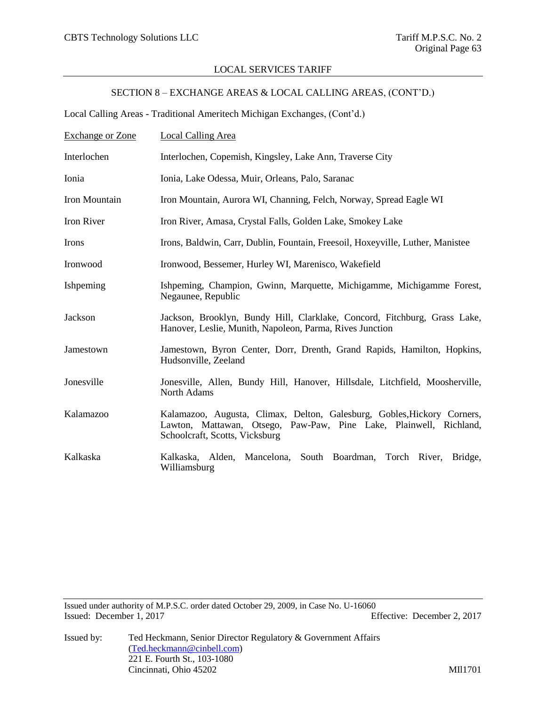# SECTION 8 – EXCHANGE AREAS & LOCAL CALLING AREAS, (CONT'D.)

Local Calling Areas - Traditional Ameritech Michigan Exchanges, (Cont'd.)

| <b>Exchange or Zone</b> | <b>Local Calling Area</b>                                                                                                                                                       |
|-------------------------|---------------------------------------------------------------------------------------------------------------------------------------------------------------------------------|
| Interlochen             | Interlochen, Copemish, Kingsley, Lake Ann, Traverse City                                                                                                                        |
| Ionia                   | Ionia, Lake Odessa, Muir, Orleans, Palo, Saranac                                                                                                                                |
| Iron Mountain           | Iron Mountain, Aurora WI, Channing, Felch, Norway, Spread Eagle WI                                                                                                              |
| Iron River              | Iron River, Amasa, Crystal Falls, Golden Lake, Smokey Lake                                                                                                                      |
| Irons                   | Irons, Baldwin, Carr, Dublin, Fountain, Freesoil, Hoxeyville, Luther, Manistee                                                                                                  |
| Ironwood                | Ironwood, Bessemer, Hurley WI, Marenisco, Wakefield                                                                                                                             |
| Ishpeming               | Ishpeming, Champion, Gwinn, Marquette, Michigamme, Michigamme Forest,<br>Negaunee, Republic                                                                                     |
| Jackson                 | Jackson, Brooklyn, Bundy Hill, Clarklake, Concord, Fitchburg, Grass Lake,<br>Hanover, Leslie, Munith, Napoleon, Parma, Rives Junction                                           |
| Jamestown               | Jamestown, Byron Center, Dorr, Drenth, Grand Rapids, Hamilton, Hopkins,<br>Hudsonville, Zeeland                                                                                 |
| Jonesville              | Jonesville, Allen, Bundy Hill, Hanover, Hillsdale, Litchfield, Moosherville,<br>North Adams                                                                                     |
| Kalamazoo               | Kalamazoo, Augusta, Climax, Delton, Galesburg, Gobles, Hickory Corners,<br>Lawton, Mattawan, Otsego, Paw-Paw, Pine Lake, Plainwell, Richland,<br>Schoolcraft, Scotts, Vicksburg |
| Kalkaska                | Kalkaska, Alden, Mancelona, South Boardman, Torch River, Bridge,<br>Williamsburg                                                                                                |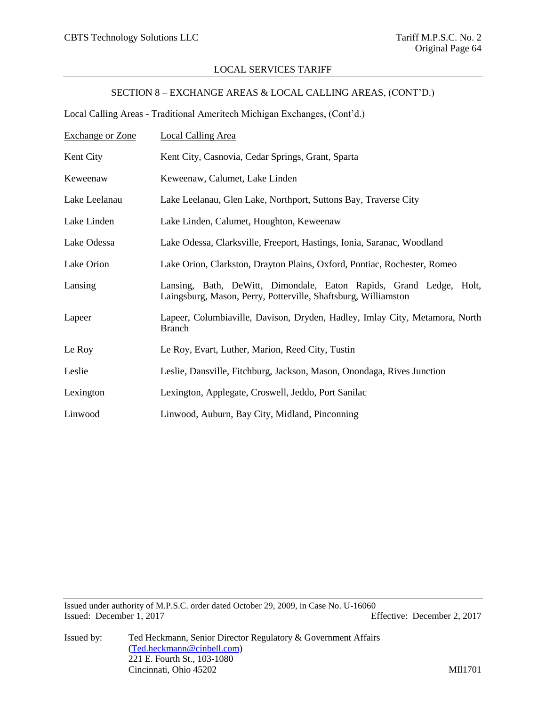# SECTION 8 – EXCHANGE AREAS & LOCAL CALLING AREAS, (CONT'D.)

Local Calling Areas - Traditional Ameritech Michigan Exchanges, (Cont'd.)

| <b>Exchange or Zone</b> | <b>Local Calling Area</b>                                                                                                            |
|-------------------------|--------------------------------------------------------------------------------------------------------------------------------------|
| Kent City               | Kent City, Casnovia, Cedar Springs, Grant, Sparta                                                                                    |
| Keweenaw                | Keweenaw, Calumet, Lake Linden                                                                                                       |
| Lake Leelanau           | Lake Leelanau, Glen Lake, Northport, Suttons Bay, Traverse City                                                                      |
| Lake Linden             | Lake Linden, Calumet, Houghton, Keweenaw                                                                                             |
| Lake Odessa             | Lake Odessa, Clarksville, Freeport, Hastings, Ionia, Saranac, Woodland                                                               |
| Lake Orion              | Lake Orion, Clarkston, Drayton Plains, Oxford, Pontiac, Rochester, Romeo                                                             |
| Lansing                 | Lansing, Bath, DeWitt, Dimondale, Eaton Rapids, Grand Ledge, Holt,<br>Laingsburg, Mason, Perry, Potterville, Shaftsburg, Williamston |
| Lapeer                  | Lapeer, Columbiaville, Davison, Dryden, Hadley, Imlay City, Metamora, North<br><b>Branch</b>                                         |
| Le Roy                  | Le Roy, Evart, Luther, Marion, Reed City, Tustin                                                                                     |
| Leslie                  | Leslie, Dansville, Fitchburg, Jackson, Mason, Onondaga, Rives Junction                                                               |
| Lexington               | Lexington, Applegate, Croswell, Jeddo, Port Sanilac                                                                                  |
| Linwood                 | Linwood, Auburn, Bay City, Midland, Pinconning                                                                                       |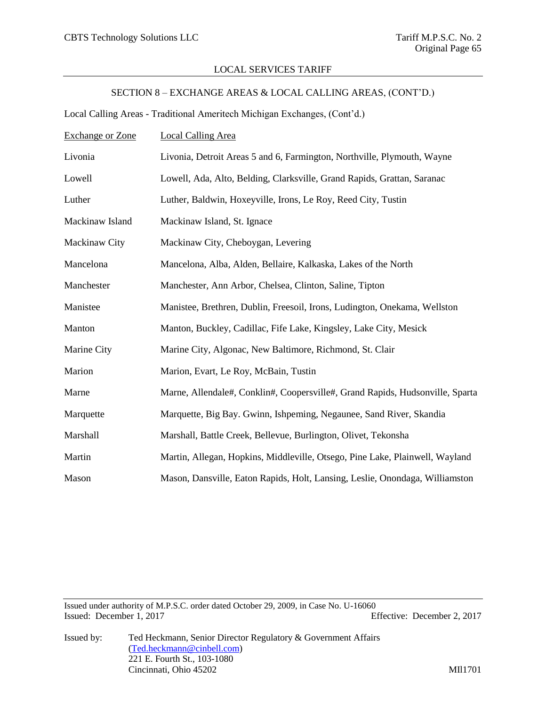# SECTION 8 – EXCHANGE AREAS & LOCAL CALLING AREAS, (CONT'D.)

Local Calling Areas - Traditional Ameritech Michigan Exchanges, (Cont'd.)

| <b>Exchange or Zone</b> | <b>Local Calling Area</b>                                                     |
|-------------------------|-------------------------------------------------------------------------------|
| Livonia                 | Livonia, Detroit Areas 5 and 6, Farmington, Northville, Plymouth, Wayne       |
| Lowell                  | Lowell, Ada, Alto, Belding, Clarksville, Grand Rapids, Grattan, Saranac       |
| Luther                  | Luther, Baldwin, Hoxeyville, Irons, Le Roy, Reed City, Tustin                 |
| Mackinaw Island         | Mackinaw Island, St. Ignace                                                   |
| Mackinaw City           | Mackinaw City, Cheboygan, Levering                                            |
| Mancelona               | Mancelona, Alba, Alden, Bellaire, Kalkaska, Lakes of the North                |
| Manchester              | Manchester, Ann Arbor, Chelsea, Clinton, Saline, Tipton                       |
| Manistee                | Manistee, Brethren, Dublin, Freesoil, Irons, Ludington, Onekama, Wellston     |
| Manton                  | Manton, Buckley, Cadillac, Fife Lake, Kingsley, Lake City, Mesick             |
| Marine City             | Marine City, Algonac, New Baltimore, Richmond, St. Clair                      |
| Marion                  | Marion, Evart, Le Roy, McBain, Tustin                                         |
| Marne                   | Marne, Allendale#, Conklin#, Coopersville#, Grand Rapids, Hudsonville, Sparta |
| Marquette               | Marquette, Big Bay. Gwinn, Ishpeming, Negaunee, Sand River, Skandia           |
| Marshall                | Marshall, Battle Creek, Bellevue, Burlington, Olivet, Tekonsha                |
| Martin                  | Martin, Allegan, Hopkins, Middleville, Otsego, Pine Lake, Plainwell, Wayland  |
| Mason                   | Mason, Dansville, Eaton Rapids, Holt, Lansing, Leslie, Onondaga, Williamston  |

Issued under authority of M.P.S.C. order dated October 29, 2009, in Case No. U-16060 Issued: December 1, 2017 Effective: December 2, 2017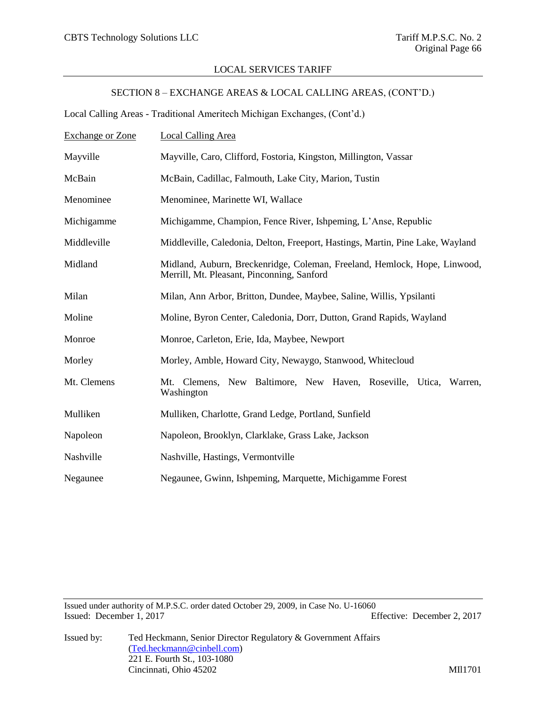# SECTION 8 – EXCHANGE AREAS & LOCAL CALLING AREAS, (CONT'D.)

Local Calling Areas - Traditional Ameritech Michigan Exchanges, (Cont'd.)

| <b>Exchange or Zone</b> | <b>Local Calling Area</b>                                                                                               |
|-------------------------|-------------------------------------------------------------------------------------------------------------------------|
| Mayville                | Mayville, Caro, Clifford, Fostoria, Kingston, Millington, Vassar                                                        |
| McBain                  | McBain, Cadillac, Falmouth, Lake City, Marion, Tustin                                                                   |
| Menominee               | Menominee, Marinette WI, Wallace                                                                                        |
| Michigamme              | Michigamme, Champion, Fence River, Ishpeming, L'Anse, Republic                                                          |
| Middleville             | Middleville, Caledonia, Delton, Freeport, Hastings, Martin, Pine Lake, Wayland                                          |
| Midland                 | Midland, Auburn, Breckenridge, Coleman, Freeland, Hemlock, Hope, Linwood,<br>Merrill, Mt. Pleasant, Pinconning, Sanford |
| Milan                   | Milan, Ann Arbor, Britton, Dundee, Maybee, Saline, Willis, Ypsilanti                                                    |
| Moline                  | Moline, Byron Center, Caledonia, Dorr, Dutton, Grand Rapids, Wayland                                                    |
| Monroe                  | Monroe, Carleton, Erie, Ida, Maybee, Newport                                                                            |
| Morley                  | Morley, Amble, Howard City, Newaygo, Stanwood, Whitecloud                                                               |
| Mt. Clemens             | Mt. Clemens, New Baltimore, New Haven, Roseville, Utica, Warren,<br>Washington                                          |
| Mulliken                | Mulliken, Charlotte, Grand Ledge, Portland, Sunfield                                                                    |
| Napoleon                | Napoleon, Brooklyn, Clarklake, Grass Lake, Jackson                                                                      |
| Nashville               | Nashville, Hastings, Vermontville                                                                                       |
| Negaunee                | Negaunee, Gwinn, Ishpeming, Marquette, Michigamme Forest                                                                |

Issued under authority of M.P.S.C. order dated October 29, 2009, in Case No. U-16060 Issued: December 1, 2017 Effective: December 2, 2017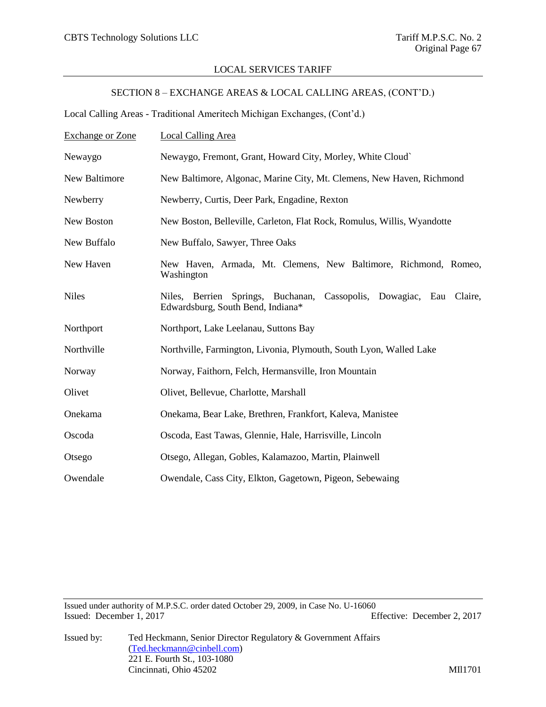# SECTION 8 – EXCHANGE AREAS & LOCAL CALLING AREAS, (CONT'D.)

Local Calling Areas - Traditional Ameritech Michigan Exchanges, (Cont'd.)

| <b>Exchange or Zone</b> | <b>Local Calling Area</b>                                                                                      |
|-------------------------|----------------------------------------------------------------------------------------------------------------|
| Newaygo                 | Newaygo, Fremont, Grant, Howard City, Morley, White Cloud`                                                     |
| New Baltimore           | New Baltimore, Algonac, Marine City, Mt. Clemens, New Haven, Richmond                                          |
| Newberry                | Newberry, Curtis, Deer Park, Engadine, Rexton                                                                  |
| New Boston              | New Boston, Belleville, Carleton, Flat Rock, Romulus, Willis, Wyandotte                                        |
| New Buffalo             | New Buffalo, Sawyer, Three Oaks                                                                                |
| New Haven               | New Haven, Armada, Mt. Clemens, New Baltimore, Richmond, Romeo,<br>Washington                                  |
| <b>Niles</b>            | Springs, Buchanan,<br>Cassopolis, Dowagiac, Eau Claire,<br>Niles, Berrien<br>Edwardsburg, South Bend, Indiana* |
| Northport               | Northport, Lake Leelanau, Suttons Bay                                                                          |
| Northville              | Northville, Farmington, Livonia, Plymouth, South Lyon, Walled Lake                                             |
| Norway                  | Norway, Faithorn, Felch, Hermansville, Iron Mountain                                                           |
| Olivet                  | Olivet, Bellevue, Charlotte, Marshall                                                                          |
| Onekama                 | Onekama, Bear Lake, Brethren, Frankfort, Kaleva, Manistee                                                      |
| Oscoda                  | Oscoda, East Tawas, Glennie, Hale, Harrisville, Lincoln                                                        |
| Otsego                  | Otsego, Allegan, Gobles, Kalamazoo, Martin, Plainwell                                                          |
| Owendale                | Owendale, Cass City, Elkton, Gagetown, Pigeon, Sebewaing                                                       |

Issued under authority of M.P.S.C. order dated October 29, 2009, in Case No. U-16060 Issued: December 1, 2017 Effective: December 2, 2017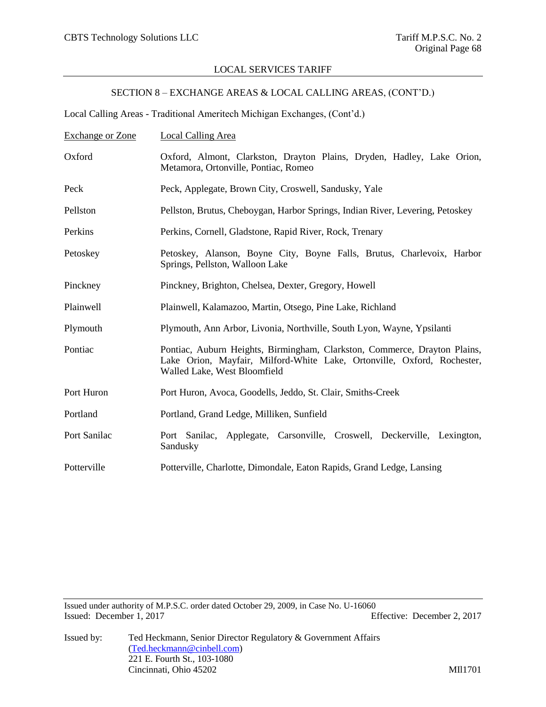# SECTION 8 – EXCHANGE AREAS & LOCAL CALLING AREAS, (CONT'D.)

Local Calling Areas - Traditional Ameritech Michigan Exchanges, (Cont'd.)

| <b>Exchange or Zone</b> | Local Calling Area                                                                                                                                                                   |
|-------------------------|--------------------------------------------------------------------------------------------------------------------------------------------------------------------------------------|
| Oxford                  | Oxford, Almont, Clarkston, Drayton Plains, Dryden, Hadley, Lake Orion,<br>Metamora, Ortonville, Pontiac, Romeo                                                                       |
| Peck                    | Peck, Applegate, Brown City, Croswell, Sandusky, Yale                                                                                                                                |
| Pellston                | Pellston, Brutus, Cheboygan, Harbor Springs, Indian River, Levering, Petoskey                                                                                                        |
| Perkins                 | Perkins, Cornell, Gladstone, Rapid River, Rock, Trenary                                                                                                                              |
| Petoskey                | Petoskey, Alanson, Boyne City, Boyne Falls, Brutus, Charlevoix, Harbor<br>Springs, Pellston, Walloon Lake                                                                            |
| Pinckney                | Pinckney, Brighton, Chelsea, Dexter, Gregory, Howell                                                                                                                                 |
| Plainwell               | Plainwell, Kalamazoo, Martin, Otsego, Pine Lake, Richland                                                                                                                            |
| Plymouth                | Plymouth, Ann Arbor, Livonia, Northville, South Lyon, Wayne, Ypsilanti                                                                                                               |
| Pontiac                 | Pontiac, Auburn Heights, Birmingham, Clarkston, Commerce, Drayton Plains,<br>Lake Orion, Mayfair, Milford-White Lake, Ortonville, Oxford, Rochester,<br>Walled Lake, West Bloomfield |
| Port Huron              | Port Huron, Avoca, Goodells, Jeddo, St. Clair, Smiths-Creek                                                                                                                          |
| Portland                | Portland, Grand Ledge, Milliken, Sunfield                                                                                                                                            |
| Port Sanilac            | Port Sanilac, Applegate, Carsonville, Croswell, Deckerville, Lexington,<br>Sandusky                                                                                                  |
| Potterville             | Potterville, Charlotte, Dimondale, Eaton Rapids, Grand Ledge, Lansing                                                                                                                |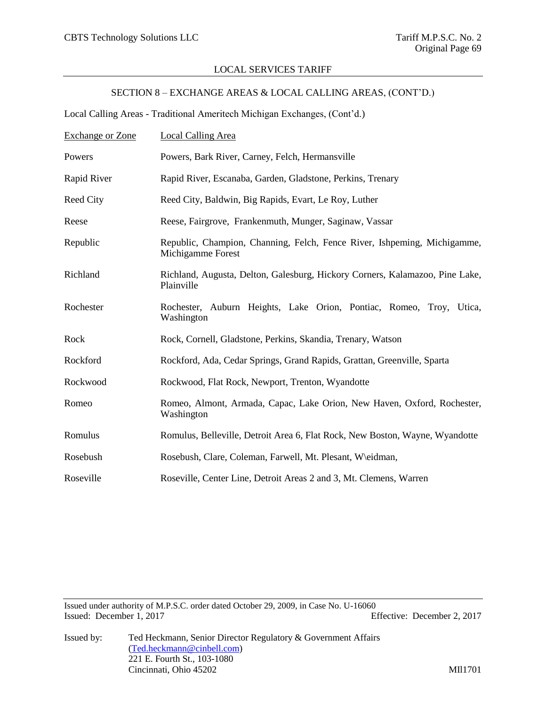# SECTION 8 – EXCHANGE AREAS & LOCAL CALLING AREAS, (CONT'D.)

Local Calling Areas - Traditional Ameritech Michigan Exchanges, (Cont'd.)

| <b>Exchange or Zone</b> | <b>Local Calling Area</b>                                                                     |
|-------------------------|-----------------------------------------------------------------------------------------------|
| Powers                  | Powers, Bark River, Carney, Felch, Hermansville                                               |
| Rapid River             | Rapid River, Escanaba, Garden, Gladstone, Perkins, Trenary                                    |
| Reed City               | Reed City, Baldwin, Big Rapids, Evart, Le Roy, Luther                                         |
| Reese                   | Reese, Fairgrove, Frankenmuth, Munger, Saginaw, Vassar                                        |
| Republic                | Republic, Champion, Channing, Felch, Fence River, Ishpeming, Michigamme,<br>Michigamme Forest |
| Richland                | Richland, Augusta, Delton, Galesburg, Hickory Corners, Kalamazoo, Pine Lake,<br>Plainville    |
| Rochester               | Rochester, Auburn Heights, Lake Orion, Pontiac, Romeo, Troy, Utica,<br>Washington             |
| Rock                    | Rock, Cornell, Gladstone, Perkins, Skandia, Trenary, Watson                                   |
| Rockford                | Rockford, Ada, Cedar Springs, Grand Rapids, Grattan, Greenville, Sparta                       |
| Rockwood                | Rockwood, Flat Rock, Newport, Trenton, Wyandotte                                              |
| Romeo                   | Romeo, Almont, Armada, Capac, Lake Orion, New Haven, Oxford, Rochester,<br>Washington         |
| Romulus                 | Romulus, Belleville, Detroit Area 6, Flat Rock, New Boston, Wayne, Wyandotte                  |
| Rosebush                | Rosebush, Clare, Coleman, Farwell, Mt. Plesant, W\eidman,                                     |
| Roseville               | Roseville, Center Line, Detroit Areas 2 and 3, Mt. Clemens, Warren                            |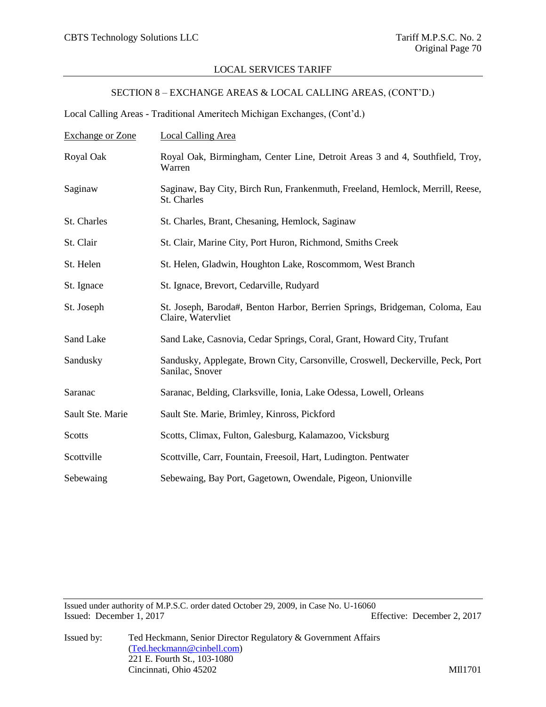# SECTION 8 – EXCHANGE AREAS & LOCAL CALLING AREAS, (CONT'D.)

Local Calling Areas - Traditional Ameritech Michigan Exchanges, (Cont'd.)

| <b>Exchange or Zone</b> | <b>Local Calling Area</b>                                                                          |
|-------------------------|----------------------------------------------------------------------------------------------------|
| Royal Oak               | Royal Oak, Birmingham, Center Line, Detroit Areas 3 and 4, Southfield, Troy,<br>Warren             |
| Saginaw                 | Saginaw, Bay City, Birch Run, Frankenmuth, Freeland, Hemlock, Merrill, Reese,<br>St. Charles       |
| St. Charles             | St. Charles, Brant, Chesaning, Hemlock, Saginaw                                                    |
| St. Clair               | St. Clair, Marine City, Port Huron, Richmond, Smiths Creek                                         |
| St. Helen               | St. Helen, Gladwin, Houghton Lake, Roscommom, West Branch                                          |
| St. Ignace              | St. Ignace, Brevort, Cedarville, Rudyard                                                           |
| St. Joseph              | St. Joseph, Baroda#, Benton Harbor, Berrien Springs, Bridgeman, Coloma, Eau<br>Claire, Watervliet  |
| Sand Lake               | Sand Lake, Casnovia, Cedar Springs, Coral, Grant, Howard City, Trufant                             |
| Sandusky                | Sandusky, Applegate, Brown City, Carsonville, Croswell, Deckerville, Peck, Port<br>Sanilac, Snover |
| Saranac                 | Saranac, Belding, Clarksville, Ionia, Lake Odessa, Lowell, Orleans                                 |
| Sault Ste. Marie        | Sault Ste. Marie, Brimley, Kinross, Pickford                                                       |
| Scotts                  | Scotts, Climax, Fulton, Galesburg, Kalamazoo, Vicksburg                                            |
| Scottville              | Scottville, Carr, Fountain, Freesoil, Hart, Ludington. Pentwater                                   |
| Sebewaing               | Sebewaing, Bay Port, Gagetown, Owendale, Pigeon, Unionville                                        |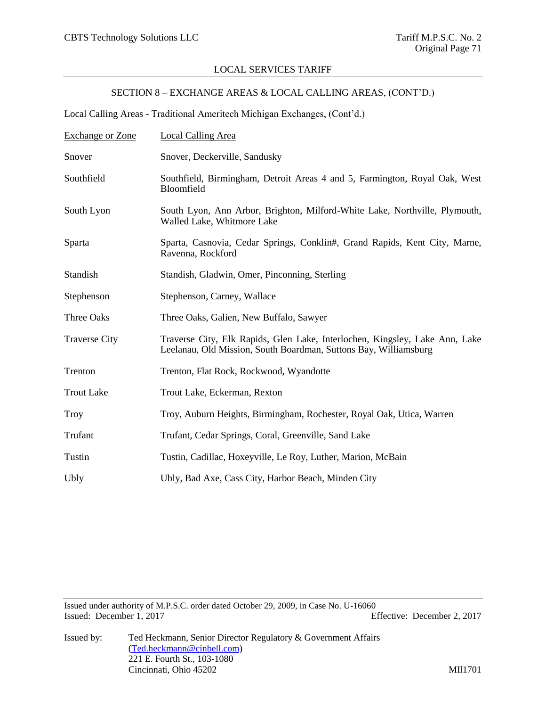# SECTION 8 – EXCHANGE AREAS & LOCAL CALLING AREAS, (CONT'D.)

Local Calling Areas - Traditional Ameritech Michigan Exchanges, (Cont'd.)

| <b>Exchange or Zone</b> | <b>Local Calling Area</b>                                                                                                                       |
|-------------------------|-------------------------------------------------------------------------------------------------------------------------------------------------|
| Snover                  | Snover, Deckerville, Sandusky                                                                                                                   |
| Southfield              | Southfield, Birmingham, Detroit Areas 4 and 5, Farmington, Royal Oak, West<br>Bloomfield                                                        |
| South Lyon              | South Lyon, Ann Arbor, Brighton, Milford-White Lake, Northville, Plymouth,<br>Walled Lake, Whitmore Lake                                        |
| Sparta                  | Sparta, Casnovia, Cedar Springs, Conklin#, Grand Rapids, Kent City, Marne,<br>Ravenna, Rockford                                                 |
| Standish                | Standish, Gladwin, Omer, Pinconning, Sterling                                                                                                   |
| Stephenson              | Stephenson, Carney, Wallace                                                                                                                     |
| Three Oaks              | Three Oaks, Galien, New Buffalo, Sawyer                                                                                                         |
| <b>Traverse City</b>    | Traverse City, Elk Rapids, Glen Lake, Interlochen, Kingsley, Lake Ann, Lake<br>Leelanau, Old Mission, South Boardman, Suttons Bay, Williamsburg |
| Trenton                 | Trenton, Flat Rock, Rockwood, Wyandotte                                                                                                         |
| <b>Trout Lake</b>       | Trout Lake, Eckerman, Rexton                                                                                                                    |
| <b>Troy</b>             | Troy, Auburn Heights, Birmingham, Rochester, Royal Oak, Utica, Warren                                                                           |
| Trufant                 | Trufant, Cedar Springs, Coral, Greenville, Sand Lake                                                                                            |
| Tustin                  | Tustin, Cadillac, Hoxeyville, Le Roy, Luther, Marion, McBain                                                                                    |
| Ubly                    | Ubly, Bad Axe, Cass City, Harbor Beach, Minden City                                                                                             |

Issued under authority of M.P.S.C. order dated October 29, 2009, in Case No. U-16060 Issued: December 1, 2017 Effective: December 2, 2017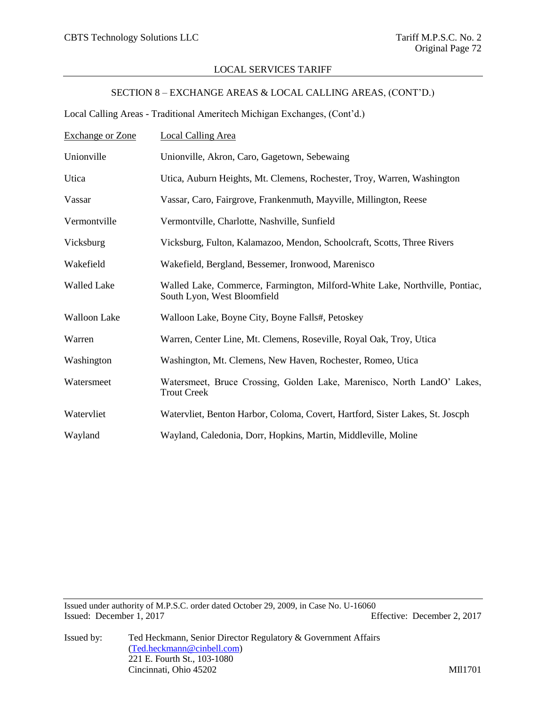## LOCAL SERVICES TARIFF

## SECTION 8 – EXCHANGE AREAS & LOCAL CALLING AREAS, (CONT'D.)

Local Calling Areas - Traditional Ameritech Michigan Exchanges, (Cont'd.)

| <b>Exchange or Zone</b> | <b>Local Calling Area</b>                                                                                  |
|-------------------------|------------------------------------------------------------------------------------------------------------|
| Unionville              | Unionville, Akron, Caro, Gagetown, Sebewaing                                                               |
| Utica                   | Utica, Auburn Heights, Mt. Clemens, Rochester, Troy, Warren, Washington                                    |
| Vassar                  | Vassar, Caro, Fairgrove, Frankenmuth, Mayville, Millington, Reese                                          |
| Vermontville            | Vermontville, Charlotte, Nashville, Sunfield                                                               |
| Vicksburg               | Vicksburg, Fulton, Kalamazoo, Mendon, Schoolcraft, Scotts, Three Rivers                                    |
| Wakefield               | Wakefield, Bergland, Bessemer, Ironwood, Marenisco                                                         |
| <b>Walled Lake</b>      | Walled Lake, Commerce, Farmington, Milford-White Lake, Northville, Pontiac,<br>South Lyon, West Bloomfield |
| <b>Walloon Lake</b>     | Walloon Lake, Boyne City, Boyne Falls#, Petoskey                                                           |
| Warren                  | Warren, Center Line, Mt. Clemens, Roseville, Royal Oak, Troy, Utica                                        |
| Washington              | Washington, Mt. Clemens, New Haven, Rochester, Romeo, Utica                                                |
| Watersmeet              | Watersmeet, Bruce Crossing, Golden Lake, Marenisco, North LandO' Lakes,<br><b>Trout Creek</b>              |
| Watervliet              | Watervliet, Benton Harbor, Coloma, Covert, Hartford, Sister Lakes, St. Joseph                              |
| Wayland                 | Wayland, Caledonia, Dorr, Hopkins, Martin, Middleville, Moline                                             |

Issued under authority of M.P.S.C. order dated October 29, 2009, in Case No. U-16060 Issued: December 1, 2017 Effective: December 2, 2017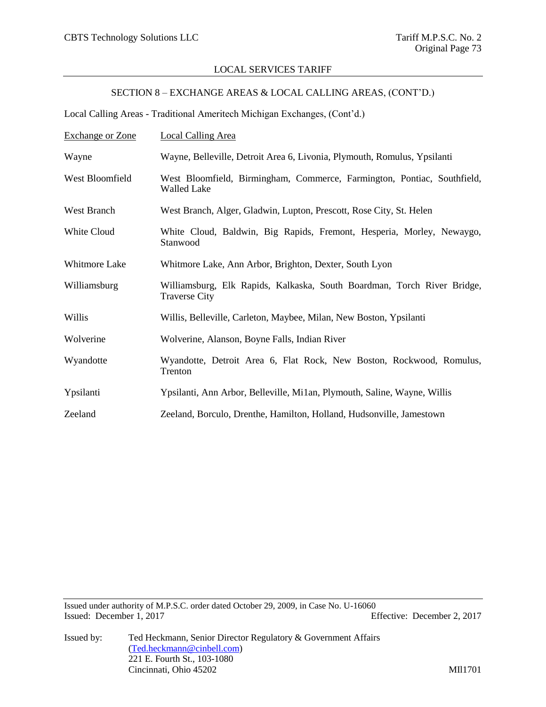### LOCAL SERVICES TARIFF

## SECTION 8 – EXCHANGE AREAS & LOCAL CALLING AREAS, (CONT'D.)

Local Calling Areas - Traditional Ameritech Michigan Exchanges, (Cont'd.)

| <b>Exchange or Zone</b> | <b>Local Calling Area</b>                                                                       |
|-------------------------|-------------------------------------------------------------------------------------------------|
| Wayne                   | Wayne, Belleville, Detroit Area 6, Livonia, Plymouth, Romulus, Ypsilanti                        |
| West Bloomfield         | West Bloomfield, Birmingham, Commerce, Farmington, Pontiac, Southfield,<br><b>Walled Lake</b>   |
| West Branch             | West Branch, Alger, Gladwin, Lupton, Prescott, Rose City, St. Helen                             |
| White Cloud             | White Cloud, Baldwin, Big Rapids, Fremont, Hesperia, Morley, Newaygo,<br>Stanwood               |
| Whitmore Lake           | Whitmore Lake, Ann Arbor, Brighton, Dexter, South Lyon                                          |
| Williamsburg            | Williamsburg, Elk Rapids, Kalkaska, South Boardman, Torch River Bridge,<br><b>Traverse City</b> |
| Willis                  | Willis, Belleville, Carleton, Maybee, Milan, New Boston, Ypsilanti                              |
| Wolverine               | Wolverine, Alanson, Boyne Falls, Indian River                                                   |
| Wyandotte               | Wyandotte, Detroit Area 6, Flat Rock, New Boston, Rockwood, Romulus,<br>Trenton                 |
| Ypsilanti               | Ypsilanti, Ann Arbor, Belleville, Mi1an, Plymouth, Saline, Wayne, Willis                        |
| Zeeland                 | Zeeland, Borculo, Drenthe, Hamilton, Holland, Hudsonville, Jamestown                            |

Issued under authority of M.P.S.C. order dated October 29, 2009, in Case No. U-16060 Issued: December 1, 2017 Effective: December 2, 2017